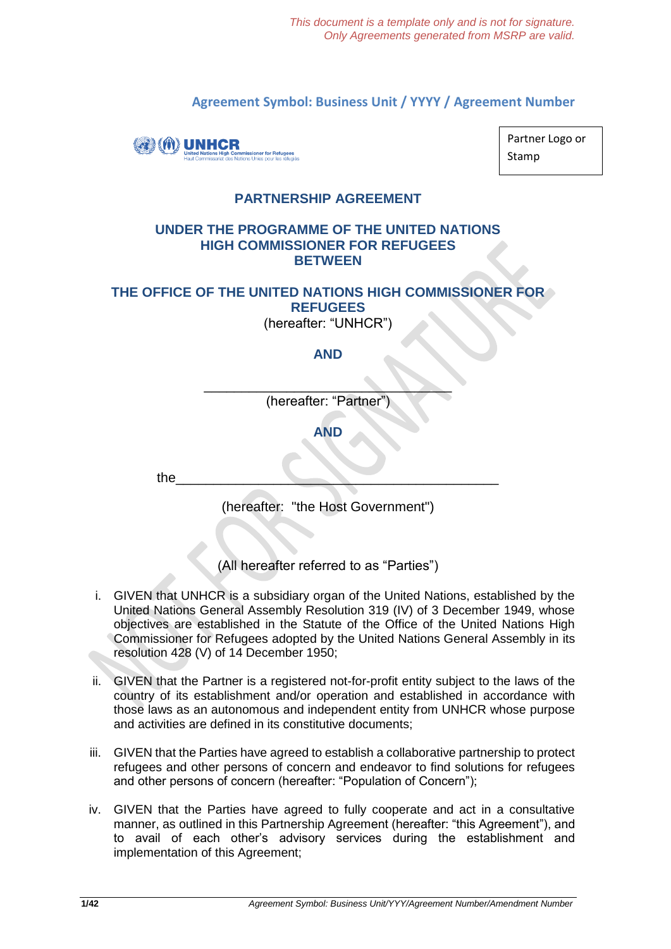**Agreement Symbol: Business Unit / YYYY / Agreement Number**



Partner Logo or Stamp

# **PARTNERSHIP AGREEMENT**

### **UNDER THE PROGRAMME OF THE UNITED NATIONS HIGH COMMISSIONER FOR REFUGEES BETWEEN**

### **THE OFFICE OF THE UNITED NATIONS HIGH COMMISSIONER FOR REFUGEES** (hereafter: "UNHCR")

# **AND**

\_\_\_\_\_\_\_\_\_\_\_\_\_\_\_\_\_\_\_\_\_\_\_\_\_\_\_\_\_\_\_\_\_ (hereafter: "Partner

**AND**

the  $\overline{\phantom{a}}$ 

(hereafter: "the Host Government")

(All hereafter referred to as "Parties")

- i. GIVEN that UNHCR is a subsidiary organ of the United Nations, established by the United Nations General Assembly Resolution 319 (IV) of 3 December 1949, whose objectives are established in the Statute of the Office of the United Nations High Commissioner for Refugees adopted by the United Nations General Assembly in its resolution 428 (V) of 14 December 1950;
- ii. GIVEN that the Partner is a registered not-for-profit entity subject to the laws of the country of its establishment and/or operation and established in accordance with those laws as an autonomous and independent entity from UNHCR whose purpose and activities are defined in its constitutive documents;
- iii. GIVEN that the Parties have agreed to establish a collaborative partnership to protect refugees and other persons of concern and endeavor to find solutions for refugees and other persons of concern (hereafter: "Population of Concern");
- iv. GIVEN that the Parties have agreed to fully cooperate and act in a consultative manner, as outlined in this Partnership Agreement (hereafter: "this Agreement"), and to avail of each other's advisory services during the establishment and implementation of this Agreement;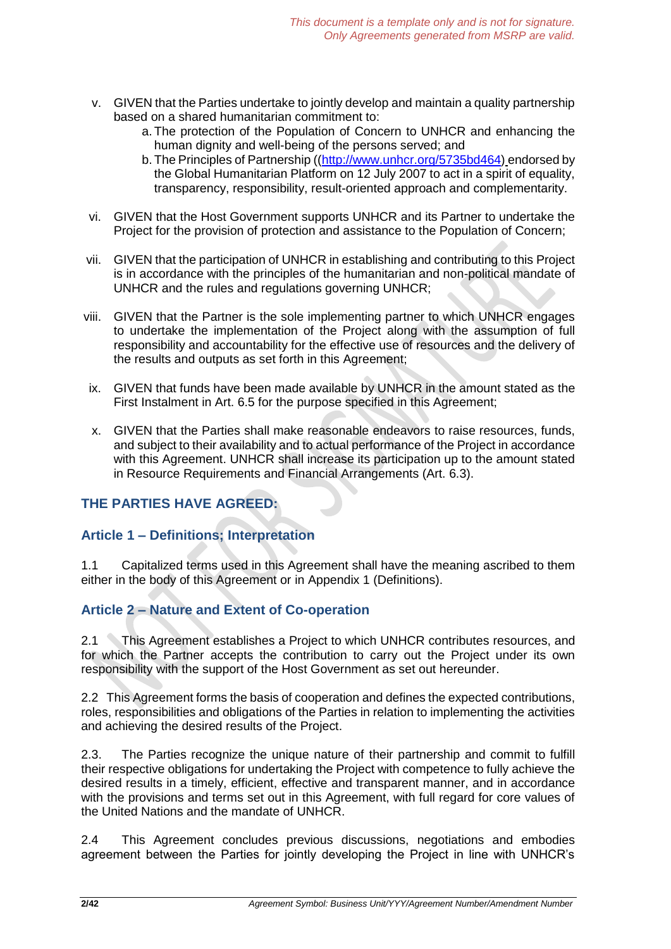- v. GIVEN that the Parties undertake to jointly develop and maintain a quality partnership based on a shared humanitarian commitment to:
	- a. The protection of the Population of Concern to UNHCR and enhancing the human dignity and well-being of the persons served; and
	- b. The Principles of Partnership ([\(http://www.unhcr.org/5735bd464\)](http://www.unhcr.org/5735bd464) endorsed by the Global Humanitarian Platform on 12 July 2007 to act in a spirit of equality, transparency, responsibility, result-oriented approach and complementarity.
- vi. GIVEN that the Host Government supports UNHCR and its Partner to undertake the Project for the provision of protection and assistance to the Population of Concern;
- vii. GIVEN that the participation of UNHCR in establishing and contributing to this Project is in accordance with the principles of the humanitarian and non-political mandate of UNHCR and the rules and regulations governing UNHCR;
- viii. GIVEN that the Partner is the sole implementing partner to which UNHCR engages to undertake the implementation of the Project along with the assumption of full responsibility and accountability for the effective use of resources and the delivery of the results and outputs as set forth in this Agreement;
- ix. GIVEN that funds have been made available by UNHCR in the amount stated as the First Instalment in Art. 6.5 for the purpose specified in this Agreement;
- x. GIVEN that the Parties shall make reasonable endeavors to raise resources, funds, and subject to their availability and to actual performance of the Project in accordance with this Agreement. UNHCR shall increase its participation up to the amount stated in Resource Requirements and Financial Arrangements (Art. 6.3).

# **THE PARTIES HAVE AGREED:**

# **Article 1 – Definitions; Interpretation**

1.1 Capitalized terms used in this Agreement shall have the meaning ascribed to them either in the body of this Agreement or in Appendix 1 (Definitions).

# **Article 2 – Nature and Extent of Co-operation**

2.1 This Agreement establishes a Project to which UNHCR contributes resources, and for which the Partner accepts the contribution to carry out the Project under its own responsibility with the support of the Host Government as set out hereunder.

2.2 This Agreement forms the basis of cooperation and defines the expected contributions, roles, responsibilities and obligations of the Parties in relation to implementing the activities and achieving the desired results of the Project.

2.3. The Parties recognize the unique nature of their partnership and commit to fulfill their respective obligations for undertaking the Project with competence to fully achieve the desired results in a timely, efficient, effective and transparent manner, and in accordance with the provisions and terms set out in this Agreement, with full regard for core values of the United Nations and the mandate of UNHCR.

2.4 This Agreement concludes previous discussions, negotiations and embodies agreement between the Parties for jointly developing the Project in line with UNHCR's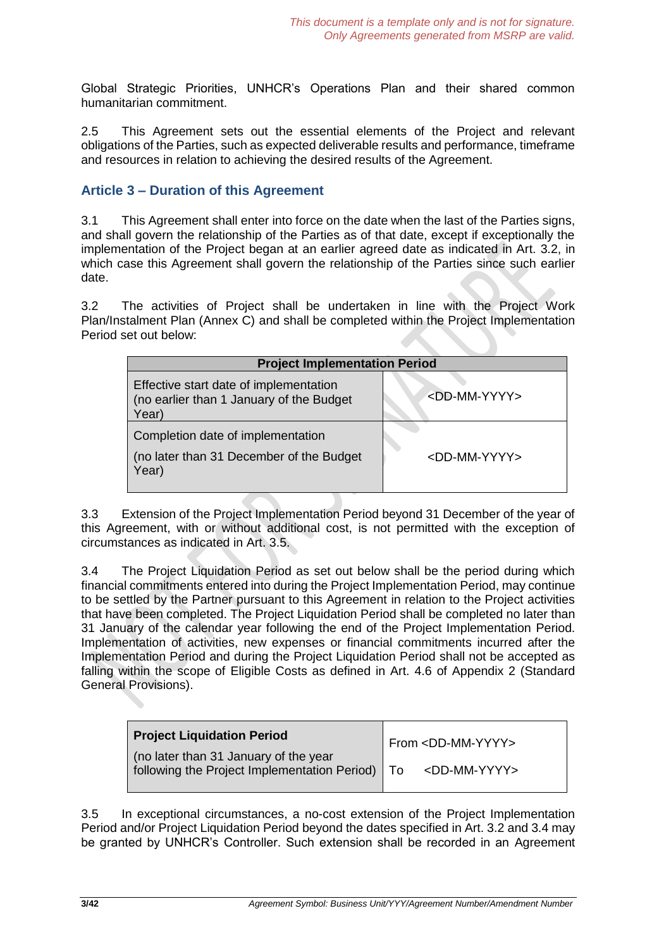Global Strategic Priorities, UNHCR's Operations Plan and their shared common humanitarian commitment.

2.5 This Agreement sets out the essential elements of the Project and relevant obligations of the Parties, such as expected deliverable results and performance, timeframe and resources in relation to achieving the desired results of the Agreement.

# **Article 3 – Duration of this Agreement**

3.1 This Agreement shall enter into force on the date when the last of the Parties signs, and shall govern the relationship of the Parties as of that date, except if exceptionally the implementation of the Project began at an earlier agreed date as indicated in Art. 3.2, in which case this Agreement shall govern the relationship of the Parties since such earlier date.

3.2 The activities of Project shall be undertaken in line with the Project Work Plan/Instalment Plan (Annex C) and shall be completed within the Project Implementation Period set out below:

| <b>Project Implementation Period</b>                                                        |                           |  |
|---------------------------------------------------------------------------------------------|---------------------------|--|
| Effective start date of implementation<br>(no earlier than 1 January of the Budget<br>Year) | $<$ DD-MM-YYYY>           |  |
| Completion date of implementation<br>(no later than 31 December of the Budget<br>Year)      | <dd-mm-yyyy></dd-mm-yyyy> |  |

3.3 Extension of the Project Implementation Period beyond 31 December of the year of this Agreement, with or without additional cost, is not permitted with the exception of circumstances as indicated in Art. 3.5.

3.4 The Project Liquidation Period as set out below shall be the period during which financial commitments entered into during the Project Implementation Period, may continue to be settled by the Partner pursuant to this Agreement in relation to the Project activities that have been completed. The Project Liquidation Period shall be completed no later than 31 January of the calendar year following the end of the Project Implementation Period. Implementation of activities, new expenses or financial commitments incurred after the Implementation Period and during the Project Liquidation Period shall not be accepted as falling within the scope of Eligible Costs as defined in Art. 4.6 of Appendix 2 (Standard General Provisions).

| <b>Project Liquidation Period</b>                                                          | T From <dd-mm-yyyy></dd-mm-yyyy> |
|--------------------------------------------------------------------------------------------|----------------------------------|
| (no later than 31 January of the year<br>following the Project Implementation Period)   To | $<$ DD-MM-YYYY>                  |

3.5 In exceptional circumstances, a no-cost extension of the Project Implementation Period and/or Project Liquidation Period beyond the dates specified in Art. 3.2 and 3.4 may be granted by UNHCR's Controller. Such extension shall be recorded in an Agreement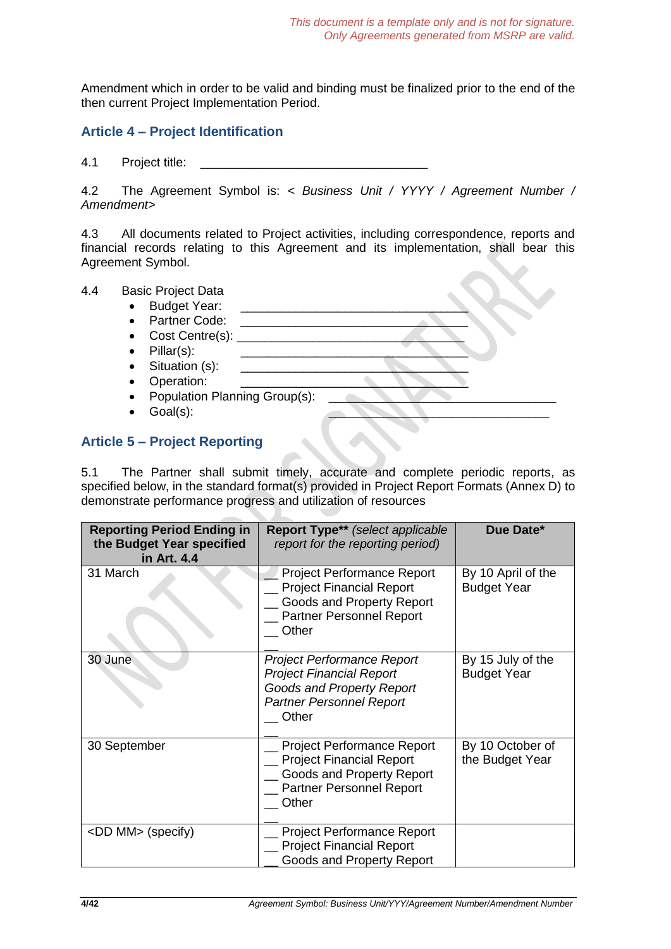Amendment which in order to be valid and binding must be finalized prior to the end of the then current Project Implementation Period.

# **Article 4 – Project Identification**

4.1 Project title: \_\_\_\_\_\_\_\_\_\_\_\_\_\_\_\_\_\_\_\_\_\_\_\_\_\_\_\_\_\_\_\_\_

4.2 The Agreement Symbol is: *< Business Unit / YYYY / Agreement Number / Amendment>*

4.3 All documents related to Project activities, including correspondence, reports and financial records relating to this Agreement and its implementation, shall bear this Agreement Symbol.

| 4.4 | <b>Basic Project Data</b>                  |  |
|-----|--------------------------------------------|--|
|     | <b>Budget Year:</b><br>$\bullet$           |  |
|     |                                            |  |
|     | Partner Code:<br>$\bullet$                 |  |
|     | Cost Centre(s):<br>$\bullet$               |  |
|     | $Pillar(s)$ :<br>$\bullet$                 |  |
|     | Situation (s):<br>$\bullet$                |  |
|     | Operation:<br>$\bullet$                    |  |
|     | Population Planning Group(s):<br>$\bullet$ |  |
|     | Goal(s):<br>$\bullet$                      |  |
|     |                                            |  |
|     | <b>Article 5 - Project Reporting</b>       |  |

5.1 The Partner shall submit timely, accurate and complete periodic reports, as specified below, in the standard format(s) provided in Project Report Formats (Annex D) to demonstrate performance progress and utilization of resources

| <b>Reporting Period Ending in</b><br>the Budget Year specified<br>in Art. 4.4 | Report Type** (select applicable<br>report for the reporting period)                                                                          | Due Date*                                |
|-------------------------------------------------------------------------------|-----------------------------------------------------------------------------------------------------------------------------------------------|------------------------------------------|
| 31 March                                                                      | <b>Project Performance Report</b><br><b>Project Financial Report</b><br>Goods and Property Report<br>Partner Personnel Report<br>Other        | By 10 April of the<br><b>Budget Year</b> |
| 30 June                                                                       | <b>Project Performance Report</b><br><b>Project Financial Report</b><br>Goods and Property Report<br><b>Partner Personnel Report</b><br>Other | By 15 July of the<br><b>Budget Year</b>  |
| 30 September                                                                  | <b>Project Performance Report</b><br><b>Project Financial Report</b><br>Goods and Property Report<br><b>Partner Personnel Report</b><br>Other | By 10 October of<br>the Budget Year      |
| <dd mm=""> (specify)</dd>                                                     | <b>Project Performance Report</b><br><b>Project Financial Report</b><br><b>Goods and Property Report</b>                                      |                                          |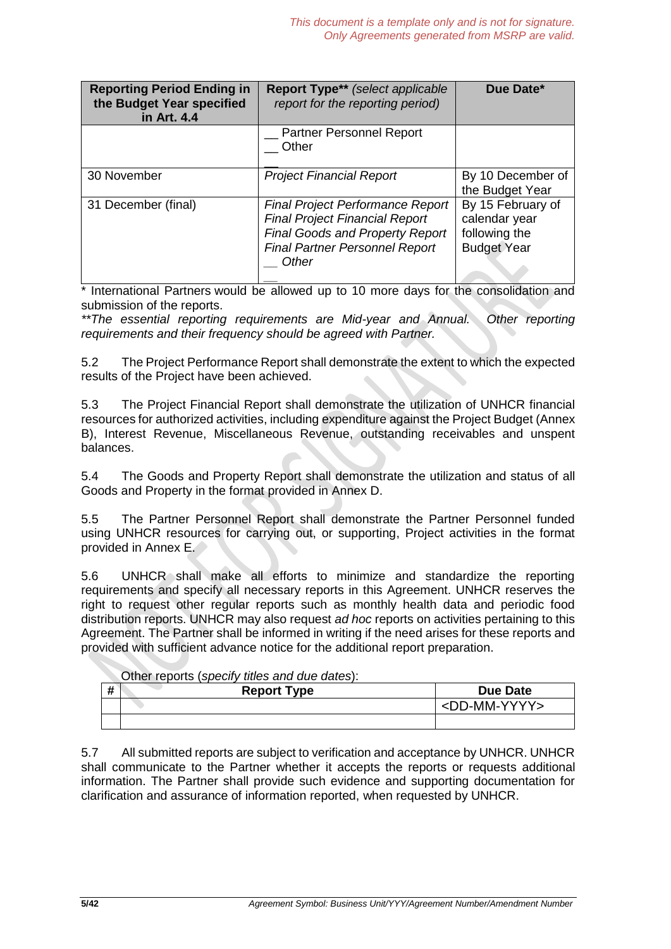| <b>Reporting Period Ending in</b><br>the Budget Year specified<br>in Art. 4.4 | <b>Report Type**</b> (select applicable<br>report for the reporting period)                                                                                                  | Due Date*                                                                 |
|-------------------------------------------------------------------------------|------------------------------------------------------------------------------------------------------------------------------------------------------------------------------|---------------------------------------------------------------------------|
|                                                                               | <b>Partner Personnel Report</b><br>Other                                                                                                                                     |                                                                           |
| 30 November                                                                   | <b>Project Financial Report</b>                                                                                                                                              | By 10 December of<br>the Budget Year                                      |
| 31 December (final)                                                           | <b>Final Project Performance Report</b><br><b>Final Project Financial Report</b><br><b>Final Goods and Property Report</b><br><b>Final Partner Personnel Report</b><br>Other | By 15 February of<br>calendar year<br>following the<br><b>Budget Year</b> |

\* International Partners would be allowed up to 10 more days for the consolidation and submission of the reports.

*\*\*The essential reporting requirements are Mid-year and Annual. Other reporting requirements and their frequency should be agreed with Partner.*

5.2 The Project Performance Report shall demonstrate the extent to which the expected results of the Project have been achieved.

5.3 The Project Financial Report shall demonstrate the utilization of UNHCR financial resources for authorized activities, including expenditure against the Project Budget (Annex B), Interest Revenue, Miscellaneous Revenue, outstanding receivables and unspent balances.

5.4 The Goods and Property Report shall demonstrate the utilization and status of all Goods and Property in the format provided in Annex D.

5.5 The Partner Personnel Report shall demonstrate the Partner Personnel funded using UNHCR resources for carrying out, or supporting, Project activities in the format provided in Annex E.

5.6 UNHCR shall make all efforts to minimize and standardize the reporting requirements and specify all necessary reports in this Agreement. UNHCR reserves the right to request other regular reports such as monthly health data and periodic food distribution reports. UNHCR may also request *ad hoc* reports on activities pertaining to this Agreement. The Partner shall be informed in writing if the need arises for these reports and provided with sufficient advance notice for the additional report preparation.

|   | Other reports (specify titles and due dates): |
|---|-----------------------------------------------|
| # | <b>Report Type</b>                            |

| <br>n | <b>Report Type</b> | <b>Due Date</b>             |
|-------|--------------------|-----------------------------|
|       |                    | ' <dd-mm-yyyy></dd-mm-yyyy> |
|       |                    |                             |

5.7 All submitted reports are subject to verification and acceptance by UNHCR. UNHCR shall communicate to the Partner whether it accepts the reports or requests additional information. The Partner shall provide such evidence and supporting documentation for clarification and assurance of information reported, when requested by UNHCR.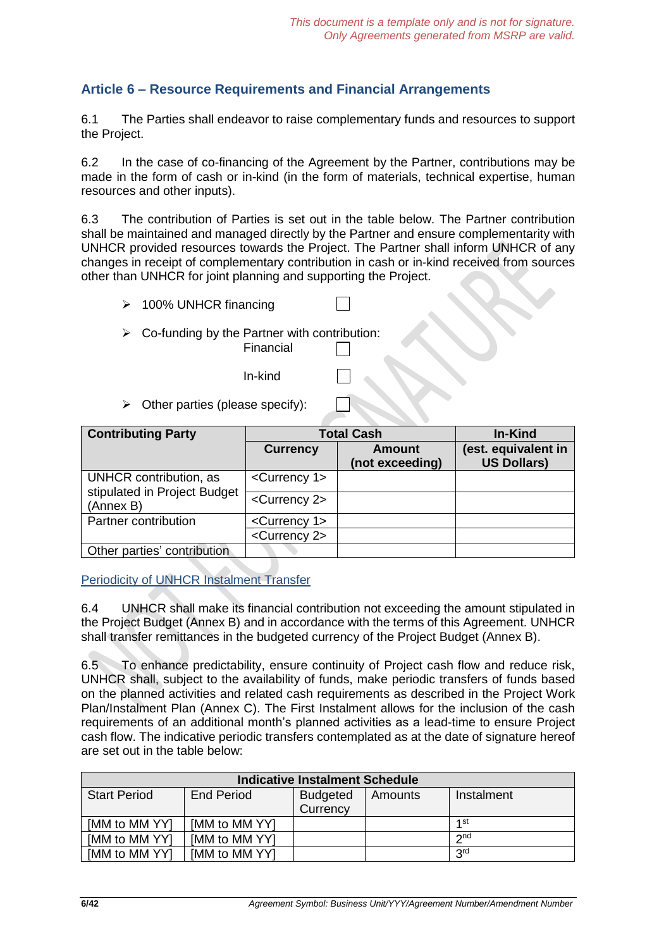# **Article 6 – Resource Requirements and Financial Arrangements**

6.1 The Parties shall endeavor to raise complementary funds and resources to support the Project.

6.2 In the case of co-financing of the Agreement by the Partner, contributions may be made in the form of cash or in-kind (in the form of materials, technical expertise, human resources and other inputs).

6.3 The contribution of Parties is set out in the table below. The Partner contribution shall be maintained and managed directly by the Partner and ensure complementarity with UNHCR provided resources towards the Project. The Partner shall inform UNHCR of any changes in receipt of complementary contribution in cash or in-kind received from sources other than UNHCR for joint planning and supporting the Project.

- ➢ 100% UNHCR financing
- $\triangleright$  Co-funding by the Partner with contribution: Financial
	- In-kind
- $\triangleright$  Other parties (please specify):

| <b>Contributing Party</b>                              | <b>Total Cash</b>          | In-Kind                   |                                           |
|--------------------------------------------------------|----------------------------|---------------------------|-------------------------------------------|
|                                                        | <b>Currency</b>            | Amount<br>(not exceeding) | (est. equivalent in<br><b>US Dollars)</b> |
| UNHCR contribution, as<br>stipulated in Project Budget | <currency 1=""></currency> |                           |                                           |
| (Annex B)                                              | <currency 2=""></currency> |                           |                                           |
| Partner contribution                                   | <currency 1=""></currency> |                           |                                           |
|                                                        | <currency 2=""></currency> |                           |                                           |
| Other parties' contribution                            |                            |                           |                                           |

Periodicity of UNHCR Instalment Transfer

6.4 UNHCR shall make its financial contribution not exceeding the amount stipulated in the Project Budget (Annex B) and in accordance with the terms of this Agreement. UNHCR shall transfer remittances in the budgeted currency of the Project Budget (Annex B).

6.5 To enhance predictability, ensure continuity of Project cash flow and reduce risk, UNHCR shall, subject to the availability of funds, make periodic transfers of funds based on the planned activities and related cash requirements as described in the Project Work Plan/Instalment Plan (Annex C). The First Instalment allows for the inclusion of the cash requirements of an additional month's planned activities as a lead-time to ensure Project cash flow. The indicative periodic transfers contemplated as at the date of signature hereof are set out in the table below:

| <b>Indicative Instalment Schedule</b> |                   |                 |         |            |
|---------------------------------------|-------------------|-----------------|---------|------------|
| <b>Start Period</b>                   | <b>End Period</b> | <b>Budgeted</b> | Amounts | Instalment |
|                                       |                   | Currency        |         |            |
| [MM to MM YY]                         | [MM to MM YY]     |                 |         | 1st        |
| [MM to MM YY]                         | [MM to MM YY]     |                 |         | $2n$ d     |
| [MM to MM YY]                         | [MM to MM YY]     |                 |         | <b>Qrd</b> |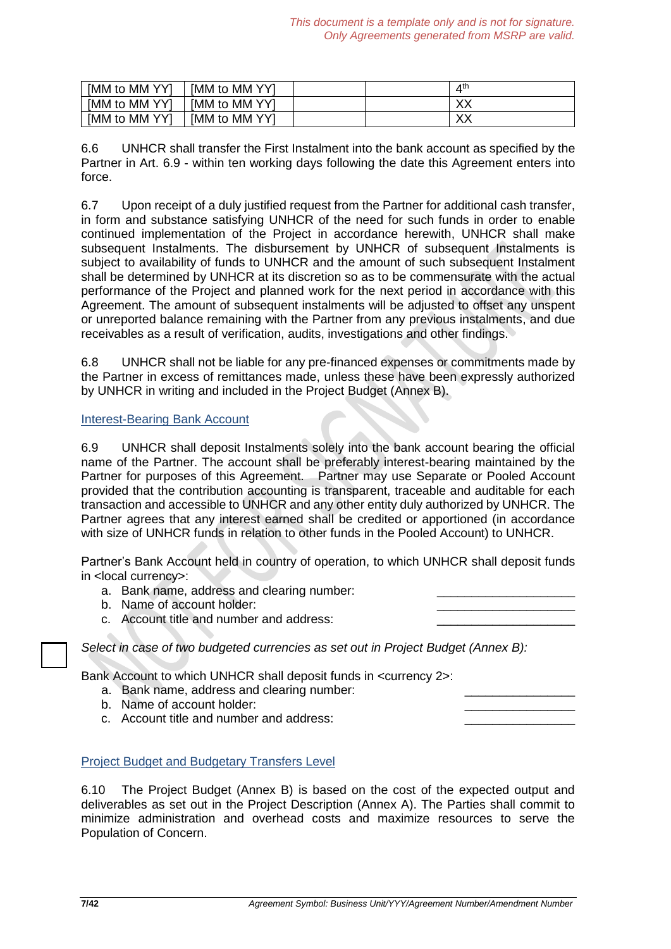| [MM to MM YY] | [MM to MM YY] |  | ⊿th          |
|---------------|---------------|--|--------------|
| [MM to MM YY] | [MM to MM YY] |  | $\vee$<br>∧∧ |
| [MM to MM YY] | [MM to MM YY] |  | vv<br>∧∧     |

6.6 UNHCR shall transfer the First Instalment into the bank account as specified by the Partner in Art. 6.9 - within ten working days following the date this Agreement enters into force.

6.7 Upon receipt of a duly justified request from the Partner for additional cash transfer, in form and substance satisfying UNHCR of the need for such funds in order to enable continued implementation of the Project in accordance herewith, UNHCR shall make subsequent Instalments. The disbursement by UNHCR of subsequent Instalments is subject to availability of funds to UNHCR and the amount of such subsequent Instalment shall be determined by UNHCR at its discretion so as to be commensurate with the actual performance of the Project and planned work for the next period in accordance with this Agreement. The amount of subsequent instalments will be adjusted to offset any unspent or unreported balance remaining with the Partner from any previous instalments, and due receivables as a result of verification, audits, investigations and other findings.

6.8 UNHCR shall not be liable for any pre-financed expenses or commitments made by the Partner in excess of remittances made, unless these have been expressly authorized by UNHCR in writing and included in the Project Budget (Annex B).

### Interest-Bearing Bank Account

6.9 UNHCR shall deposit Instalments solely into the bank account bearing the official name of the Partner. The account shall be preferably interest-bearing maintained by the Partner for purposes of this Agreement. Partner may use Separate or Pooled Account provided that the contribution accounting is transparent, traceable and auditable for each transaction and accessible to UNHCR and any other entity duly authorized by UNHCR. The Partner agrees that any interest earned shall be credited or apportioned (in accordance with size of UNHCR funds in relation to other funds in the Pooled Account) to UNHCR.

Partner's Bank Account held in country of operation, to which UNHCR shall deposit funds in <local currency>:

- a. Bank name, address and clearing number:
- b. Name of account holder:
- c. Account title and number and address:

*Select in case of two budgeted currencies as set out in Project Budget (Annex B):*

Bank Account to which UNHCR shall deposit funds in <currency 2>:

- a. Bank name, address and clearing number:
- b. Name of account holder:
- c. Account title and number and address:

Project Budget and Budgetary Transfers Level

6.10 The Project Budget (Annex B) is based on the cost of the expected output and deliverables as set out in the Project Description (Annex A). The Parties shall commit to minimize administration and overhead costs and maximize resources to serve the Population of Concern.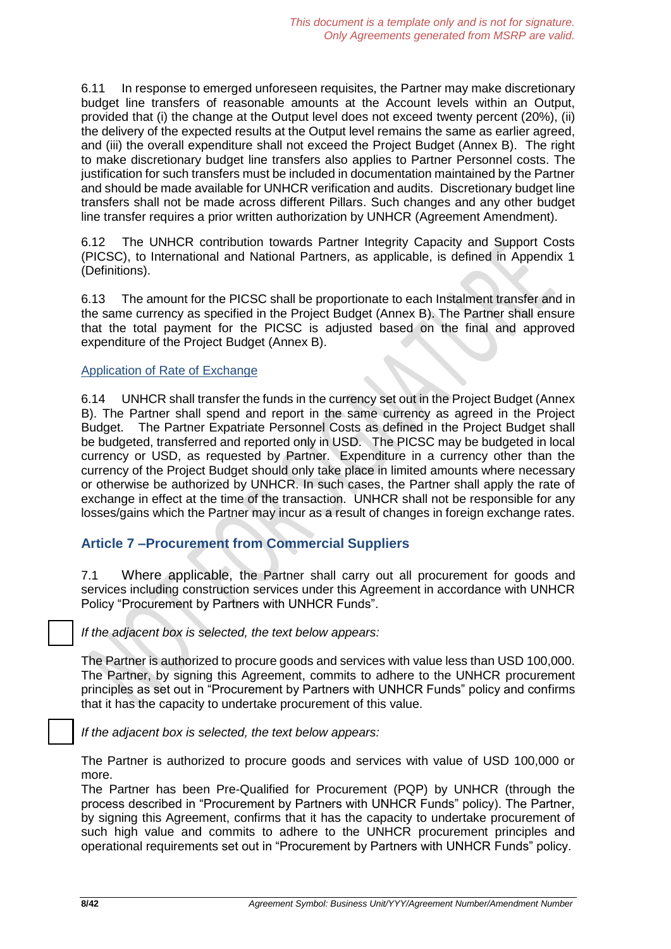6.11 In response to emerged unforeseen requisites, the Partner may make discretionary budget line transfers of reasonable amounts at the Account levels within an Output, provided that (i) the change at the Output level does not exceed twenty percent (20%), (ii) the delivery of the expected results at the Output level remains the same as earlier agreed, and (iii) the overall expenditure shall not exceed the Project Budget (Annex B). The right to make discretionary budget line transfers also applies to Partner Personnel costs. The justification for such transfers must be included in documentation maintained by the Partner and should be made available for UNHCR verification and audits. Discretionary budget line transfers shall not be made across different Pillars. Such changes and any other budget line transfer requires a prior written authorization by UNHCR (Agreement Amendment).

6.12 The UNHCR contribution towards Partner Integrity Capacity and Support Costs (PICSC), to International and National Partners, as applicable, is defined in Appendix 1 (Definitions).

6.13 The amount for the PICSC shall be proportionate to each Instalment transfer and in the same currency as specified in the Project Budget (Annex B). The Partner shall ensure that the total payment for the PICSC is adjusted based on the final and approved expenditure of the Project Budget (Annex B).

#### Application of Rate of Exchange

6.14 UNHCR shall transfer the funds in the currency set out in the Project Budget (Annex B). The Partner shall spend and report in the same currency as agreed in the Project Budget. The Partner Expatriate Personnel Costs as defined in the Project Budget shall be budgeted, transferred and reported only in USD. The PICSC may be budgeted in local currency or USD, as requested by Partner. Expenditure in a currency other than the currency of the Project Budget should only take place in limited amounts where necessary or otherwise be authorized by UNHCR. In such cases, the Partner shall apply the rate of exchange in effect at the time of the transaction. UNHCR shall not be responsible for any losses/gains which the Partner may incur as a result of changes in foreign exchange rates.

# **Article 7 –Procurement from Commercial Suppliers**

7.1 Where applicable, the Partner shall carry out all procurement for goods and services including construction services under this Agreement in accordance with UNHCR Policy "Procurement by Partners with UNHCR Funds".

*If the adjacent box is selected, the text below appears:*

The Partner is authorized to procure goods and services with value less than USD 100,000. The Partner, by signing this Agreement, commits to adhere to the UNHCR procurement principles as set out in "Procurement by Partners with UNHCR Funds" policy and confirms that it has the capacity to undertake procurement of this value.

*If the adjacent box is selected, the text below appears:*

The Partner is authorized to procure goods and services with value of USD 100,000 or more.

The Partner has been Pre-Qualified for Procurement (PQP) by UNHCR (through the process described in "Procurement by Partners with UNHCR Funds" policy). The Partner, by signing this Agreement, confirms that it has the capacity to undertake procurement of such high value and commits to adhere to the UNHCR procurement principles and operational requirements set out in "Procurement by Partners with UNHCR Funds" policy.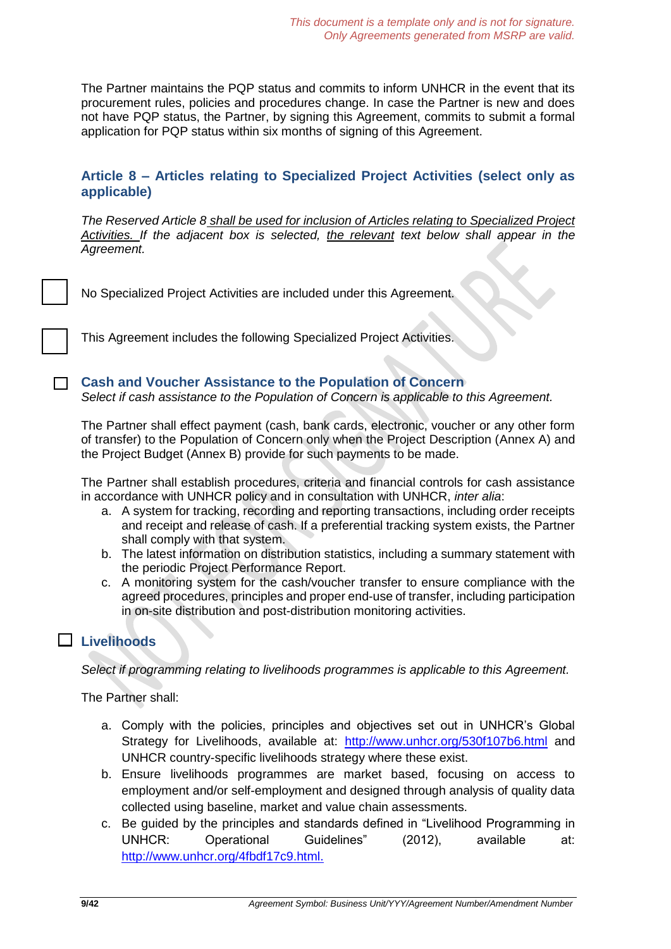The Partner maintains the PQP status and commits to inform UNHCR in the event that its procurement rules, policies and procedures change. In case the Partner is new and does not have PQP status, the Partner, by signing this Agreement, commits to submit a formal application for PQP status within six months of signing of this Agreement.

# **Article 8 – Articles relating to Specialized Project Activities (select only as applicable)**

*The Reserved Article 8 shall be used for inclusion of Articles relating to Specialized Project Activities. If the adjacent box is selected, the relevant text below shall appear in the Agreement.*

|  | No Specialized Project Activities are included under this Agreement. |
|--|----------------------------------------------------------------------|
|--|----------------------------------------------------------------------|

This Agreement includes the following Specialized Project Activities.

### **Cash and Voucher Assistance to the Population of Concern**

*Select if cash assistance to the Population of Concern is applicable to this Agreement.*

The Partner shall effect payment (cash, bank cards, electronic, voucher or any other form of transfer) to the Population of Concern only when the Project Description (Annex A) and the Project Budget (Annex B) provide for such payments to be made.

The Partner shall establish procedures, criteria and financial controls for cash assistance in accordance with UNHCR policy and in consultation with UNHCR, *inter alia*:

- a. A system for tracking, recording and reporting transactions, including order receipts and receipt and release of cash. If a preferential tracking system exists, the Partner shall comply with that system.
- b. The latest information on distribution statistics, including a summary statement with the periodic Project Performance Report.
- c. A monitoring system for the cash/voucher transfer to ensure compliance with the agreed procedures, principles and proper end-use of transfer, including participation in on-site distribution and post-distribution monitoring activities.

# **Livelihoods**

*Select if programming relating to livelihoods programmes is applicable to this Agreement.*

The Partner shall:

- a. Comply with the policies, principles and objectives set out in UNHCR's Global Strategy for Livelihoods, available at: <http://www.unhcr.org/530f107b6.html> and UNHCR country-specific livelihoods strategy where these exist.
- b. Ensure livelihoods programmes are market based, focusing on access to employment and/or self-employment and designed through analysis of quality data collected using baseline, market and value chain assessments.
- c. Be guided by the principles and standards defined in "Livelihood Programming in UNHCR: Operational Guidelines" (2012), available at: [http://www.unhcr.org/4fbdf17c9.html.](http://www.unhcr.org/4fbdf17c9.html)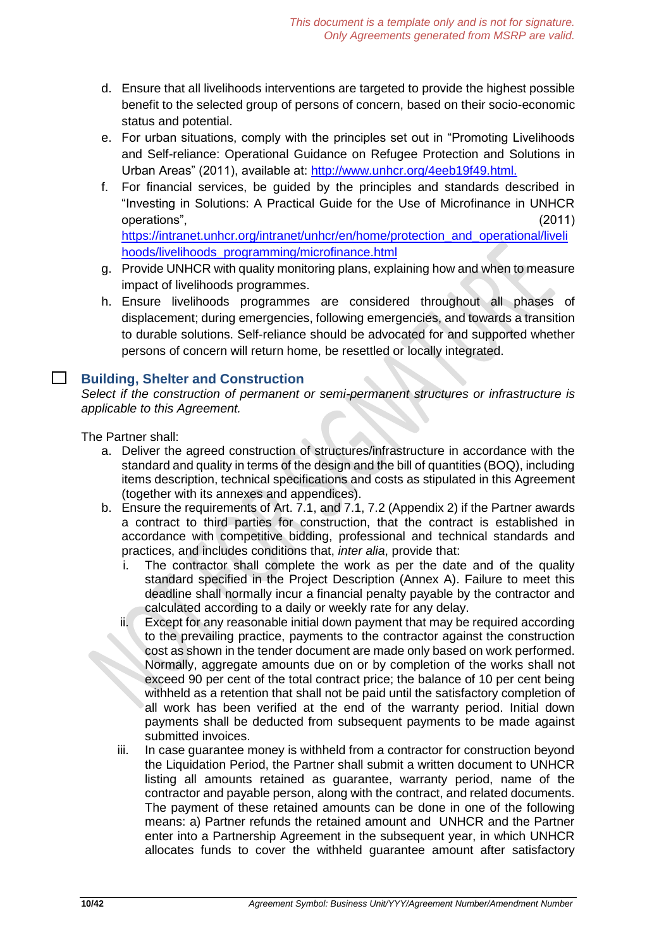- d. Ensure that all livelihoods interventions are targeted to provide the highest possible benefit to the selected group of persons of concern, based on their socio-economic status and potential.
- e. For urban situations, comply with the principles set out in "Promoting Livelihoods and Self-reliance: Operational Guidance on Refugee Protection and Solutions in Urban Areas" (2011), available at: [http://www.unhcr.org/4eeb19f49.h](http://www.unhcr.org/4eeb19f49.)tml.
- f. For financial services, be guided by the principles and standards described in "Investing in Solutions: A Practical Guide for the Use of Microfinance in UNHCR operations", (2011)

[https://intranet.unhcr.org/intranet/unhcr/en/home/protection\\_and\\_operational/liveli](https://intranet.unhcr.org/intranet/unhcr/en/home/protection_and_operational/livelihoods/livelihoods_programming/microfinance.html) [hoods/livelihoods\\_programming/microfinance.html](https://intranet.unhcr.org/intranet/unhcr/en/home/protection_and_operational/livelihoods/livelihoods_programming/microfinance.html)

- g. Provide UNHCR with quality monitoring plans, explaining how and when to measure impact of livelihoods programmes.
- h. Ensure livelihoods programmes are considered throughout all phases of displacement; during emergencies, following emergencies, and towards a transition to durable solutions. Self-reliance should be advocated for and supported whether persons of concern will return home, be resettled or locally integrated.

#### $\Box$ **Building, Shelter and Construction**

*Select if the construction of permanent or semi-permanent structures or infrastructure is applicable to this Agreement.*

The Partner shall:

- a. Deliver the agreed construction of structures/infrastructure in accordance with the standard and quality in terms of the design and the bill of quantities (BOQ), including items description, technical specifications and costs as stipulated in this Agreement (together with its annexes and appendices).
- b. Ensure the requirements of Art. 7.1, and 7.1, 7.2 (Appendix 2) if the Partner awards a contract to third parties for construction, that the contract is established in accordance with competitive bidding, professional and technical standards and practices, and includes conditions that, *inter alia*, provide that:
	- i. The contractor shall complete the work as per the date and of the quality standard specified in the Project Description (Annex A). Failure to meet this deadline shall normally incur a financial penalty payable by the contractor and calculated according to a daily or weekly rate for any delay.
	- ii. Except for any reasonable initial down payment that may be required according to the prevailing practice, payments to the contractor against the construction cost as shown in the tender document are made only based on work performed. Normally, aggregate amounts due on or by completion of the works shall not exceed 90 per cent of the total contract price; the balance of 10 per cent being withheld as a retention that shall not be paid until the satisfactory completion of all work has been verified at the end of the warranty period. Initial down payments shall be deducted from subsequent payments to be made against submitted invoices.
	- iii. In case guarantee money is withheld from a contractor for construction beyond the Liquidation Period, the Partner shall submit a written document to UNHCR listing all amounts retained as guarantee, warranty period, name of the contractor and payable person, along with the contract, and related documents. The payment of these retained amounts can be done in one of the following means: a) Partner refunds the retained amount and UNHCR and the Partner enter into a Partnership Agreement in the subsequent year, in which UNHCR allocates funds to cover the withheld guarantee amount after satisfactory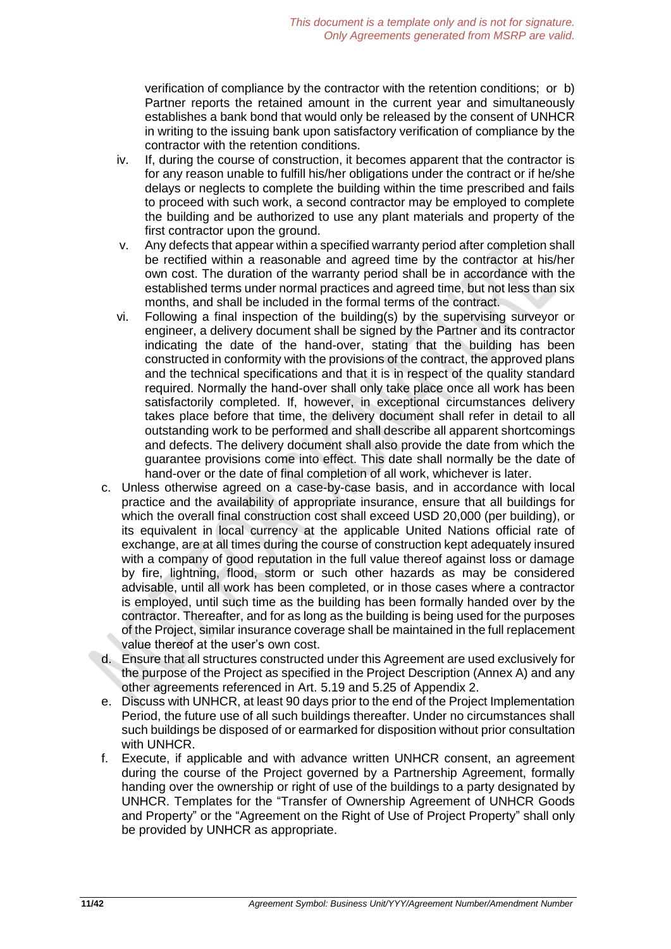verification of compliance by the contractor with the retention conditions; or b) Partner reports the retained amount in the current year and simultaneously establishes a bank bond that would only be released by the consent of UNHCR in writing to the issuing bank upon satisfactory verification of compliance by the contractor with the retention conditions.

- iv. If, during the course of construction, it becomes apparent that the contractor is for any reason unable to fulfill his/her obligations under the contract or if he/she delays or neglects to complete the building within the time prescribed and fails to proceed with such work, a second contractor may be employed to complete the building and be authorized to use any plant materials and property of the first contractor upon the ground.
- v. Any defects that appear within a specified warranty period after completion shall be rectified within a reasonable and agreed time by the contractor at his/her own cost. The duration of the warranty period shall be in accordance with the established terms under normal practices and agreed time, but not less than six months, and shall be included in the formal terms of the contract.
- vi. Following a final inspection of the building(s) by the supervising surveyor or engineer, a delivery document shall be signed by the Partner and its contractor indicating the date of the hand-over, stating that the building has been constructed in conformity with the provisions of the contract, the approved plans and the technical specifications and that it is in respect of the quality standard required. Normally the hand-over shall only take place once all work has been satisfactorily completed. If, however, in exceptional circumstances delivery takes place before that time, the delivery document shall refer in detail to all outstanding work to be performed and shall describe all apparent shortcomings and defects. The delivery document shall also provide the date from which the guarantee provisions come into effect. This date shall normally be the date of hand-over or the date of final completion of all work, whichever is later.
- c. Unless otherwise agreed on a case-by-case basis, and in accordance with local practice and the availability of appropriate insurance, ensure that all buildings for which the overall final construction cost shall exceed USD 20,000 (per building), or its equivalent in local currency at the applicable United Nations official rate of exchange, are at all times during the course of construction kept adequately insured with a company of good reputation in the full value thereof against loss or damage by fire, lightning, flood, storm or such other hazards as may be considered advisable, until all work has been completed, or in those cases where a contractor is employed, until such time as the building has been formally handed over by the contractor. Thereafter, and for as long as the building is being used for the purposes of the Project, similar insurance coverage shall be maintained in the full replacement value thereof at the user's own cost.
- d. Ensure that all structures constructed under this Agreement are used exclusively for the purpose of the Project as specified in the Project Description (Annex A) and any other agreements referenced in Art. 5.19 and 5.25 of Appendix 2.
- e. Discuss with UNHCR, at least 90 days prior to the end of the Project Implementation Period, the future use of all such buildings thereafter. Under no circumstances shall such buildings be disposed of or earmarked for disposition without prior consultation with UNHCR.
- f. Execute, if applicable and with advance written UNHCR consent, an agreement during the course of the Project governed by a Partnership Agreement, formally handing over the ownership or right of use of the buildings to a party designated by UNHCR. Templates for the "Transfer of Ownership Agreement of UNHCR Goods and Property" or the "Agreement on the Right of Use of Project Property" shall only be provided by UNHCR as appropriate.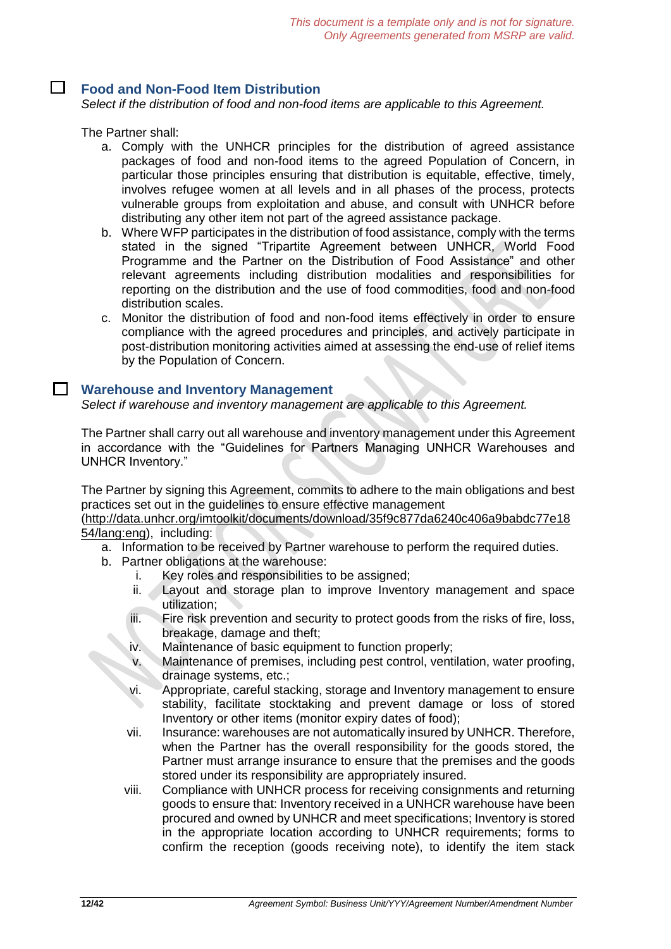#### П. **Food and Non-Food Item Distribution**

*Select if the distribution of food and non-food items are applicable to this Agreement.*

The Partner shall:

- a. Comply with the UNHCR principles for the distribution of agreed assistance packages of food and non-food items to the agreed Population of Concern, in particular those principles ensuring that distribution is equitable, effective, timely, involves refugee women at all levels and in all phases of the process, protects vulnerable groups from exploitation and abuse, and consult with UNHCR before distributing any other item not part of the agreed assistance package.
- b. Where WFP participates in the distribution of food assistance, comply with the terms stated in the signed "Tripartite Agreement between UNHCR, World Food Programme and the Partner on the Distribution of Food Assistance" and other relevant agreements including distribution modalities and responsibilities for reporting on the distribution and the use of food commodities, food and non-food distribution scales.
- c. Monitor the distribution of food and non-food items effectively in order to ensure compliance with the agreed procedures and principles, and actively participate in post-distribution monitoring activities aimed at assessing the end-use of relief items by the Population of Concern.

#### **Warehouse and Inventory Management**

*Select if warehouse and inventory management are applicable to this Agreement.*

The Partner shall carry out all warehouse and inventory management under this Agreement in accordance with the "Guidelines for Partners Managing UNHCR Warehouses and UNHCR Inventory."

The Partner by signing this Agreement, commits to adhere to the main obligations and best practices set out in the guidelines to ensure effective management

[\(http://data.unhcr.org/imtoolkit/documents/download/35f9c877da6240c406a9babdc77e18](http://data.unhcr.org/imtoolkit/documents/download/35f9c877da6240c406a9babdc77e1854/lang:eng) [54/lang:eng\)](http://data.unhcr.org/imtoolkit/documents/download/35f9c877da6240c406a9babdc77e1854/lang:eng), including:

- a. Information to be received by Partner warehouse to perform the required duties.
- b. Partner obligations at the warehouse:
	- i. Key roles and responsibilities to be assigned;
	- ii. Layout and storage plan to improve Inventory management and space utilization;
	- iii. Fire risk prevention and security to protect goods from the risks of fire, loss, breakage, damage and theft;
	- iv. Maintenance of basic equipment to function properly;
	- v. Maintenance of premises, including pest control, ventilation, water proofing, drainage systems, etc.;
	- vi. Appropriate, careful stacking, storage and Inventory management to ensure stability, facilitate stocktaking and prevent damage or loss of stored Inventory or other items (monitor expiry dates of food);
	- vii. Insurance: warehouses are not automatically insured by UNHCR. Therefore, when the Partner has the overall responsibility for the goods stored, the Partner must arrange insurance to ensure that the premises and the goods stored under its responsibility are appropriately insured.
	- viii. Compliance with UNHCR process for receiving consignments and returning goods to ensure that: Inventory received in a UNHCR warehouse have been procured and owned by UNHCR and meet specifications; Inventory is stored in the appropriate location according to UNHCR requirements; forms to confirm the reception (goods receiving note), to identify the item stack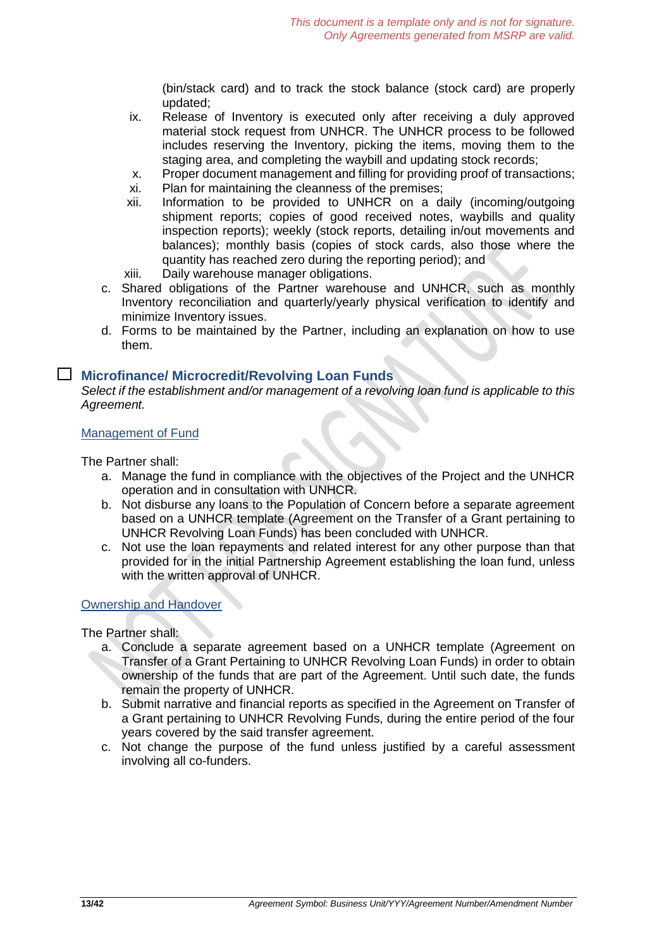(bin/stack card) and to track the stock balance (stock card) are properly updated;

- ix. Release of Inventory is executed only after receiving a duly approved material stock request from UNHCR. The UNHCR process to be followed includes reserving the Inventory, picking the items, moving them to the staging area, and completing the waybill and updating stock records;
- x. Proper document management and filling for providing proof of transactions;
- xi. Plan for maintaining the cleanness of the premises;
- xii. Information to be provided to UNHCR on a daily (incoming/outgoing shipment reports; copies of good received notes, waybills and quality inspection reports); weekly (stock reports, detailing in/out movements and balances); monthly basis (copies of stock cards, also those where the quantity has reached zero during the reporting period); and
- xiii. Daily warehouse manager obligations.
- c. Shared obligations of the Partner warehouse and UNHCR, such as monthly Inventory reconciliation and quarterly/yearly physical verification to identify and minimize Inventory issues.
- d. Forms to be maintained by the Partner, including an explanation on how to use them.

#### **Microfinance/ Microcredit/Revolving Loan Funds**

*Select if the establishment and/or management of a revolving loan fund is applicable to this Agreement.*

#### Management of Fund

The Partner shall:

- a. Manage the fund in compliance with the objectives of the Project and the UNHCR operation and in consultation with UNHCR.
- b. Not disburse any loans to the Population of Concern before a separate agreement based on a UNHCR template (Agreement on the Transfer of a Grant pertaining to UNHCR Revolving Loan Funds) has been concluded with UNHCR.
- c. Not use the loan repayments and related interest for any other purpose than that provided for in the initial Partnership Agreement establishing the loan fund, unless with the written approval of UNHCR.

#### Ownership and Handover

The Partner shall:

- a. Conclude a separate agreement based on a UNHCR template (Agreement on Transfer of a Grant Pertaining to UNHCR Revolving Loan Funds) in order to obtain ownership of the funds that are part of the Agreement. Until such date, the funds remain the property of UNHCR.
- b. Submit narrative and financial reports as specified in the Agreement on Transfer of a Grant pertaining to UNHCR Revolving Funds, during the entire period of the four years covered by the said transfer agreement.
- c. Not change the purpose of the fund unless justified by a careful assessment involving all co-funders.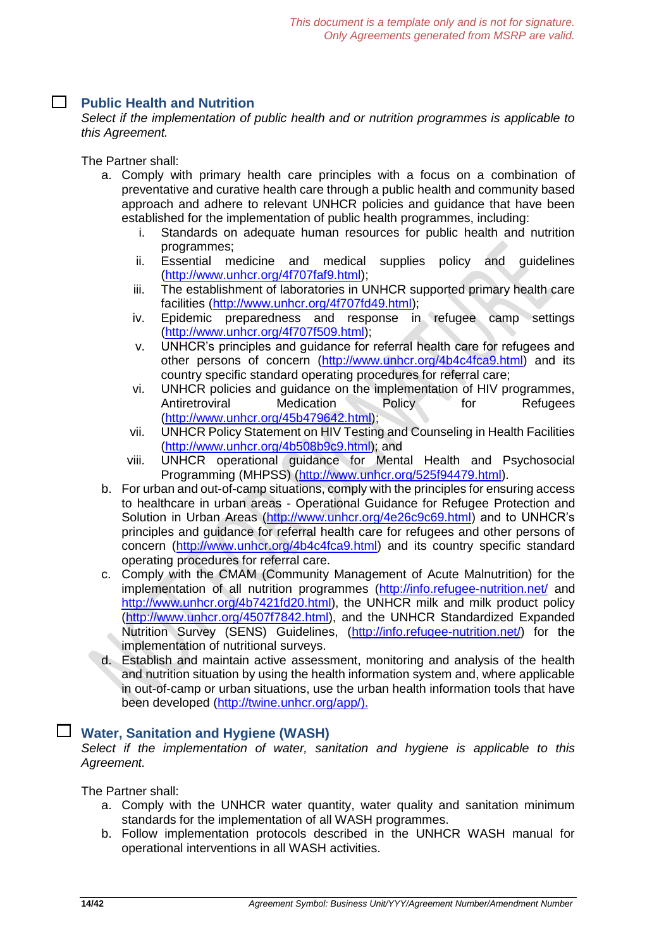# **Public Health and Nutrition**

*Select if the implementation of public health and or nutrition programmes is applicable to this Agreement.*

The Partner shall:

- a. Comply with primary health care principles with a focus on a combination of preventative and curative health care through a public health and community based approach and adhere to relevant UNHCR policies and guidance that have been established for the implementation of public health programmes, including:
	- i. Standards on adequate human resources for public health and nutrition programmes;
	- ii. Essential medicine and medical supplies policy and guidelines [\(http://www.unhcr.org/4f707faf9.html\)](http://www.unhcr.org/4f707faf9.html);
	- iii. The establishment of laboratories in UNHCR supported primary health care facilities [\(http://www.unhcr.org/4f707fd49.html\)](http://www.unhcr.org/4f707fd49.html);
	- iv. Epidemic preparedness and response in refugee camp settings [\(http://www.unhcr.org/4f707f509.html\)](http://www.unhcr.org/4f707f509.html);
	- v. UNHCR's principles and guidance for referral health care for refugees and other persons of concern [\(http://www.unhcr.org/4b4c4fca9.html\)](http://www.unhcr.org/4b4c4fca9.html) and its country specific standard operating procedures for referral care;
	- vi. UNHCR policies and guidance on the implementation of HIV programmes, Antiretroviral Medication Policy for Refugees [\(http://www.unhcr.org/45b479642.html\)](http://www.unhcr.org/45b479642.html);
	- vii. UNHCR Policy Statement on HIV Testing and Counseling in Health Facilities [\(http://www.unhcr.org/4b508b9c9.html\)](http://www.unhcr.org/4b508b9c9.html); and
	- viii. UNHCR operational guidance for Mental Health and Psychosocial Programming (MHPSS) [\(http://www.unhcr.org/525f94479.html\)](http://www.unhcr.org/525f94479.html).
- b. For urban and out-of-camp situations, comply with the principles for ensuring access to healthcare in urban areas - Operational Guidance for Refugee Protection and Solution in Urban Areas [\(http://www.unhcr.org/4e26c9c69.html\)](http://www.unhcr.org/4e26c9c69.html) and to UNHCR's principles and guidance for referral health care for refugees and other persons of concern [\(http://www.unhcr.org/4b4c4fca9.html\)](http://www.unhcr.org/4b4c4fca9.html) and its country specific standard operating procedures for referral care.
- c. Comply with the CMAM (Community Management of Acute Malnutrition) for the implementation of all nutrition programmes [\(http://info.refugee-nutrition.net/](http://info.refugee-nutrition.net/) and [http://www.unhcr.org/4b7421fd20.html\)](http://www.unhcr.org/4b7421fd20.html), the UNHCR milk and milk product policy [\(http://www.unhcr.org/4507f7842.html\)](http://www.unhcr.org/4507f7842.html), and the UNHCR Standardized Expanded Nutrition Survey (SENS) Guidelines, [\(http://info.refugee-nutrition.net/\)](http://info.refugee-nutrition.net/) for the implementation of nutritional surveys.
- d. Establish and maintain active assessment, monitoring and analysis of the health and nutrition situation by using the health information system and, where applicable in out-of-camp or urban situations, use the urban health information tools that have been developed [\(http://twine.unhcr.org/app/\).](http://twine.unhcr.org/app/).)

### **Water, Sanitation and Hygiene (WASH)**

*Select if the implementation of water, sanitation and hygiene is applicable to this Agreement.*

The Partner shall:

- a. Comply with the UNHCR water quantity, water quality and sanitation minimum standards for the implementation of all WASH programmes.
- b. Follow implementation protocols described in the UNHCR WASH manual for operational interventions in all WASH activities.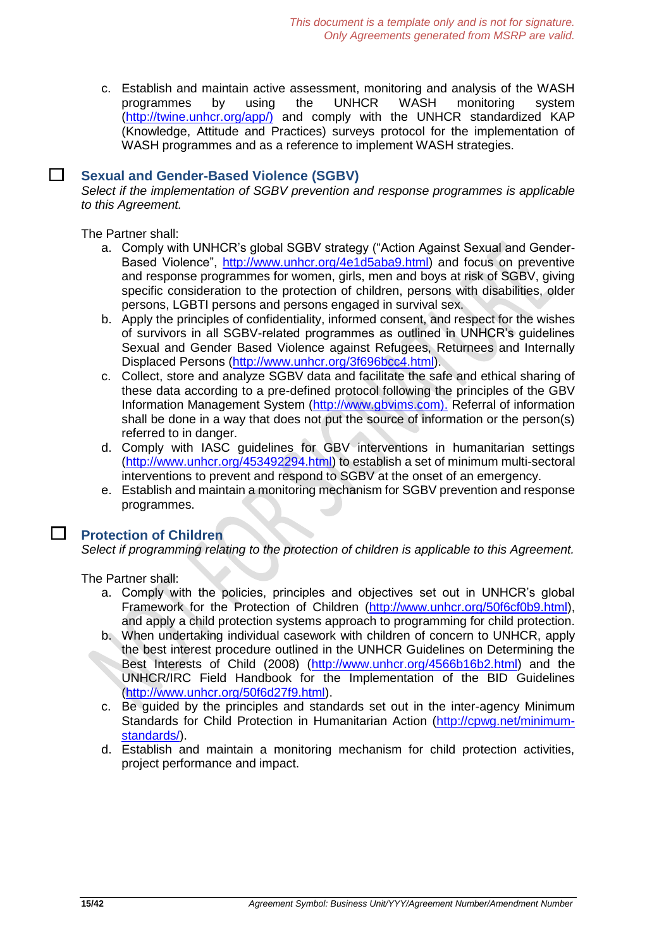c. Establish and maintain active assessment, monitoring and analysis of the WASH programmes by using the UNHCR WASH monitoring system [\(http://twine.unhcr.org/app/\)](http://twine.unhcr.org/app/) and comply with the UNHCR standardized KAP (Knowledge, Attitude and Practices) surveys protocol for the implementation of WASH programmes and as a reference to implement WASH strategies.

#### $\Box$ **Sexual and Gender-Based Violence (SGBV)**

*Select if the implementation of SGBV prevention and response programmes is applicable to this Agreement.*

The Partner shall:

- a. Comply with UNHCR's global SGBV strategy ("Action Against Sexual and Gender-Based Violence", [http://www.unhcr.org/4e1d5aba9.html\)](http://www.unhcr.org/4e1d5aba9.html) and focus on preventive and response programmes for women, girls, men and boys at risk of SGBV, giving specific consideration to the protection of children, persons with disabilities, older persons, LGBTI persons and persons engaged in survival sex.
- b. Apply the principles of confidentiality, informed consent, and respect for the wishes of survivors in all SGBV-related programmes as outlined in UNHCR's guidelines Sexual and Gender Based Violence against Refugees, Returnees and Internally Displaced Persons [\(http://www.unhcr.org/3f696bcc4.html\)](http://www.unhcr.org/3f696bcc4.html).
- c. Collect, store and analyze SGBV data and facilitate the safe and ethical sharing of these data according to a pre-defined protocol following the principles of the GBV Information Management System [\(http://www.gbvims.com\).](http://www.gbvims.com)./) Referral of information shall be done in a way that does not put the source of information or the person(s) referred to in danger.
- d. Comply with IASC guidelines for GBV interventions in humanitarian settings [\(http://www.unhcr.org/453492294.html\)](http://www.unhcr.org/453492294.html) to establish a set of minimum multi-sectoral interventions to prevent and respond to SGBV at the onset of an emergency.
- e. Establish and maintain a monitoring mechanism for SGBV prevention and response programmes.

### **Protection of Children**

*Select if programming relating to the protection of children is applicable to this Agreement.*

The Partner shall:

 $\mathsf{L}$ 

- a. Comply with the policies, principles and objectives set out in UNHCR's global Framework for the Protection of Children [\(http://www.unhcr.org/50f6cf0b9.html\)](http://www.unhcr.org/50f6cf0b9.html), and apply a child protection systems approach to programming for child protection.
- b. When undertaking individual casework with children of concern to UNHCR, apply the best interest procedure outlined in the UNHCR Guidelines on Determining the Best Interests of Child (2008) [\(http://www.unhcr.org/4566b16b2.html\)](http://www.unhcr.org/4566b16b2.html) and the UNHCR/IRC Field Handbook for the Implementation of the BID Guidelines [\(http://www.unhcr.org/50f6d27f9.html\)](http://www.unhcr.org/50f6d27f9.html).
- c. Be guided by the principles and standards set out in the inter-agency Minimum Standards for Child Protection in Humanitarian Action [\(http://cpwg.net/minimum](http://cpwg.net/minimum-standards/)[standards/\)](http://cpwg.net/minimum-standards/).
- d. Establish and maintain a monitoring mechanism for child protection activities, project performance and impact.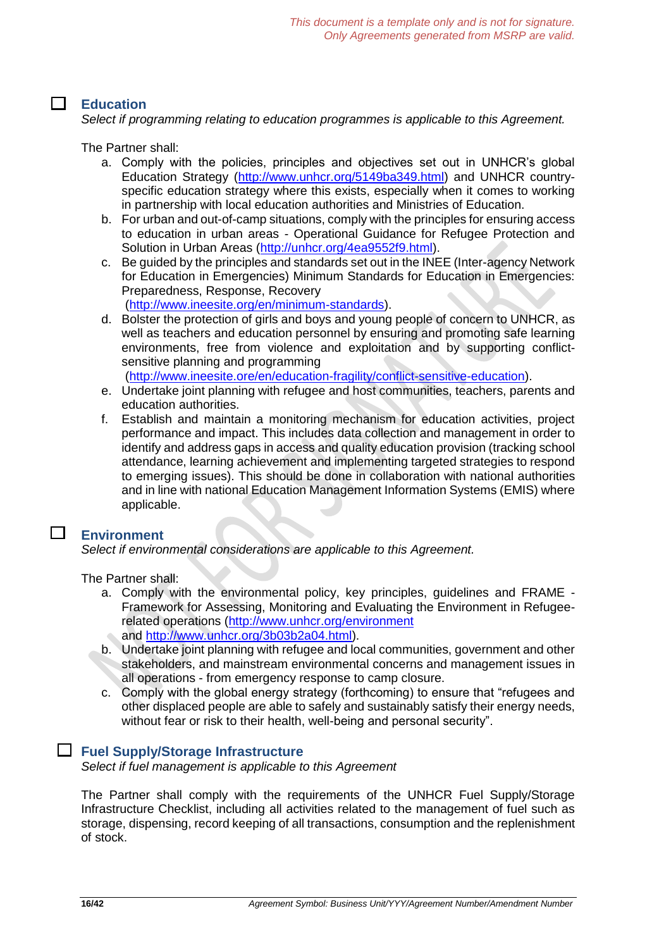### **Education**

*Select if programming relating to education programmes is applicable to this Agreement.*

The Partner shall:

- a. Comply with the policies, principles and objectives set out in UNHCR's global Education Strategy [\(http://www.unhcr.org/5149ba349.html\)](http://www.unhcr.org/5149ba349.html) and UNHCR countryspecific education strategy where this exists, especially when it comes to working in partnership with local education authorities and Ministries of Education.
- b. For urban and out-of-camp situations, comply with the principles for ensuring access to education in urban areas - Operational Guidance for Refugee Protection and Solution in Urban Areas [\(http://unhcr.org/4ea9552f9.html\)](http://unhcr.org/4ea9552f9.html).
- c. Be guided by the principles and standards set out in the INEE (Inter-agency Network for Education in Emergencies) Minimum Standards for Education in Emergencies: Preparedness, Response, Recovery [\(http://www.ineesite.org/en/minimum-standards\)](http://www.ineesite.org/en/minimum-standards).
- d. Bolster the protection of girls and boys and young people of concern to UNHCR, as well as teachers and education personnel by ensuring and promoting safe learning environments, free from violence and exploitation and by supporting conflictsensitive planning and programming

[\(http://www.ineesite.ore/en/education-fragility/conflict-sensitive-education\)](http://www.ineesite.ore/en/education-fragility/conflict-sensitive-education).

- e. Undertake joint planning with refugee and host communities, teachers, parents and education authorities.
- f. Establish and maintain a monitoring mechanism for education activities, project performance and impact. This includes data collection and management in order to identify and address gaps in access and quality education provision (tracking school attendance, learning achievement and implementing targeted strategies to respond to emerging issues). This should be done in collaboration with national authorities and in line with national Education Management Information Systems (EMIS) where applicable.

#### **Environment**

 $\Box$ 

*Select if environmental considerations are applicable to this Agreement.*

The Partner shall:

- a. Comply with the environmental policy, key principles, guidelines and FRAME Framework for Assessing, Monitoring and Evaluating the Environment in Refugeerelated operations [\(http://www.unhcr.org/environment](http://www.unhcr.org/environment) and [http://www.unhcr.org/3b03b2a04.html\)](http://www.unhcr.org/3b03b2a04.html).
- b. Undertake joint planning with refugee and local communities, government and other stakeholders, and mainstream environmental concerns and management issues in all operations - from emergency response to camp closure.
- c. Comply with the global energy strategy (forthcoming) to ensure that "refugees and other displaced people are able to safely and sustainably satisfy their energy needs, without fear or risk to their health, well-being and personal security".

#### **Fuel Supply/Storage Infrastructure**

*Select if fuel management is applicable to this Agreement*

The Partner shall comply with the requirements of the UNHCR Fuel Supply/Storage Infrastructure Checklist, including all activities related to the management of fuel such as storage, dispensing, record keeping of all transactions, consumption and the replenishment of stock.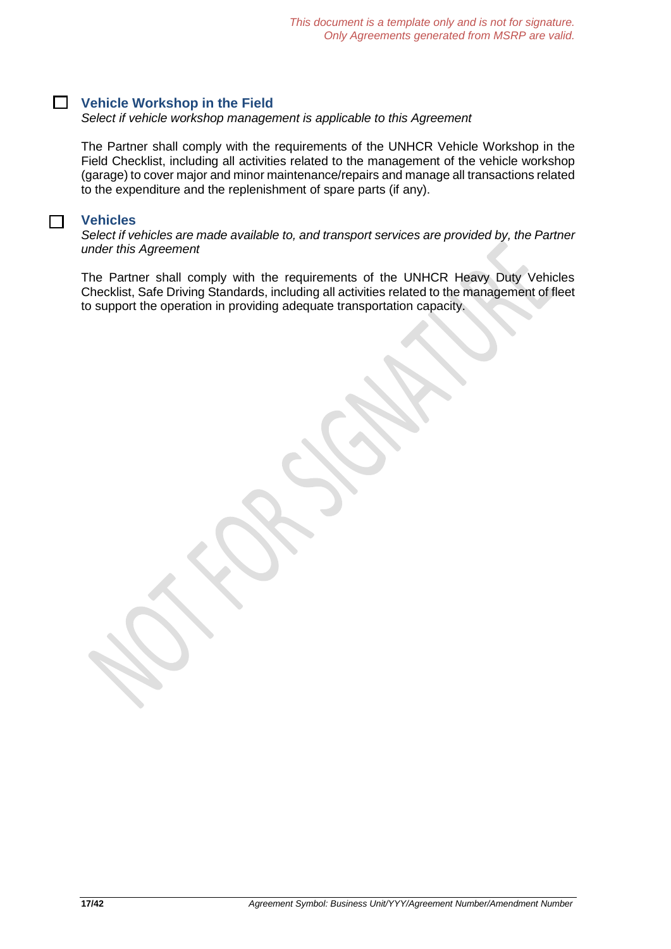# **Vehicle Workshop in the Field**

*Select if vehicle workshop management is applicable to this Agreement*

The Partner shall comply with the requirements of the UNHCR Vehicle Workshop in the Field Checklist, including all activities related to the management of the vehicle workshop (garage) to cover major and minor maintenance/repairs and manage all transactions related to the expenditure and the replenishment of spare parts (if any).

#### **Vehicles**

 $\Box$ 

*Select if vehicles are made available to, and transport services are provided by, the Partner under this Agreement*

The Partner shall comply with the requirements of the UNHCR Heavy Duty Vehicles Checklist, Safe Driving Standards, including all activities related to the management of fleet to support the operation in providing adequate transportation capacity.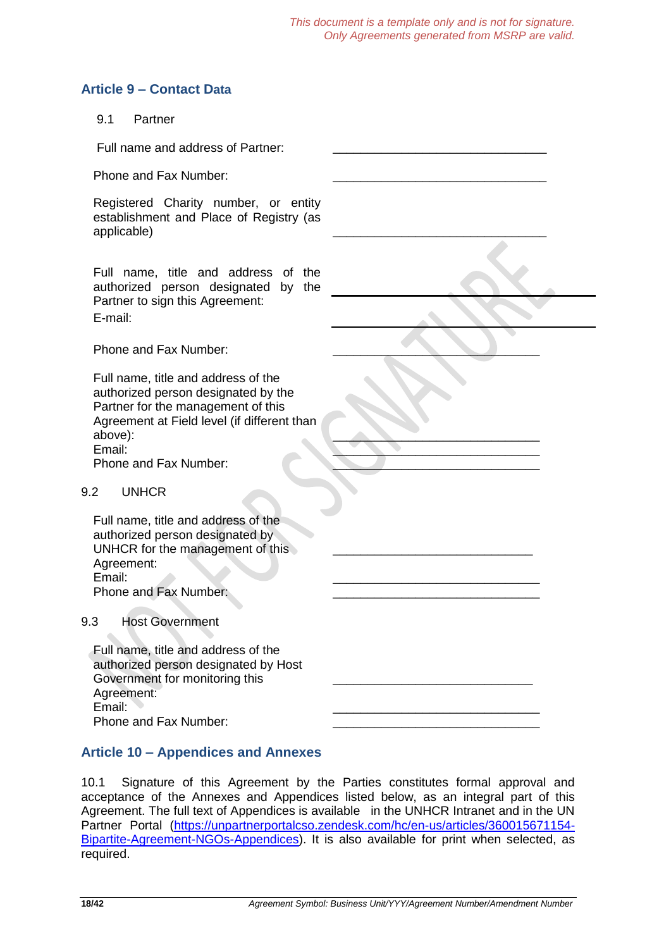# **Article 9 – Contact Data**

### 9.1 Partner

Full name and address of Partner:

Phone and Fax Number:

Registered Charity number, or entity establishment and Place of Registry (as applicable) \_\_\_\_\_\_\_\_\_\_\_\_\_\_\_\_\_\_\_\_\_\_\_\_\_\_\_\_\_\_\_

Full name, title and address of the authorized person designated by the Partner to sign this Agreement: E-mail:

Phone and Fax Number:

Full name, title and address of the authorized person designated by the Partner for the management of this Agreement at Field level (if different than above):  $\blacksquare$ Email: \_\_\_\_\_\_\_\_\_\_\_\_\_\_\_\_\_\_\_\_\_\_\_\_\_\_\_\_\_\_ Phone and Fax Number:

#### 9.2 UNHCR

Full name, title and address of the authorized person designated by UNHCR for the management of this Agreement: Email: \_\_\_\_\_\_\_\_\_\_\_\_\_\_\_\_\_\_\_\_\_\_\_\_\_\_\_\_\_\_ Phone and Fax Number:

#### 9.3 Host Government

 $\mathcal{L}$ 

| Full name, title and address of the  |  |
|--------------------------------------|--|
| authorized person designated by Host |  |
| Government for monitoring this       |  |
| Agreement:                           |  |
| Email:                               |  |
| Phone and Fax Number:                |  |

# **Article 10 – Appendices and Annexes**

10.1 Signature of this Agreement by the Parties constitutes formal approval and acceptance of the Annexes and Appendices listed below, as an integral part of this Agreement. The full text of Appendices is available in the UNHCR Intranet and in the UN Partner Portal [\(https://unpartnerportalcso.zendesk.com/hc/en-us/articles/360015671154-](https://unpartnerportalcso.zendesk.com/hc/en-us/articles/360015671154-Bipartite-Agreement-NGOs-Appendices) [Bipartite-Agreement-NGOs-Appendices\)](https://unpartnerportalcso.zendesk.com/hc/en-us/articles/360015671154-Bipartite-Agreement-NGOs-Appendices). It is also available for print when selected, as required.

\_\_\_\_\_\_\_\_\_\_\_\_\_\_\_\_\_\_\_\_\_\_\_\_\_\_\_\_\_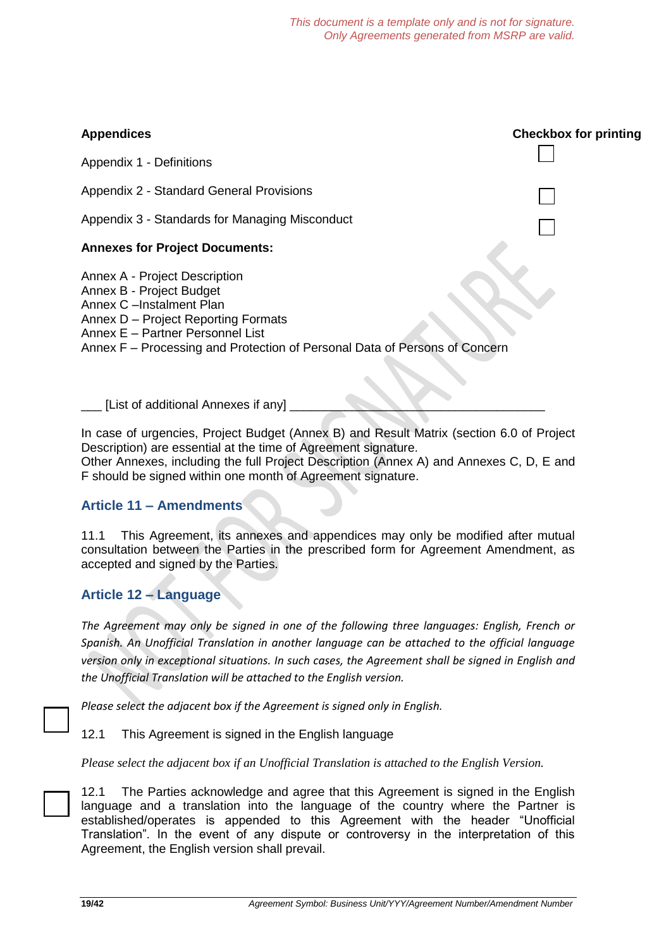# **Appendices Checkbox for printing** Appendix 1 - Definitions Appendix 2 - Standard General Provisions Appendix 3 - Standards for Managing Misconduct **Annexes for Project Documents:** Annex A - Project Description Annex B - Project Budget Annex C –Instalment Plan Annex D – Project Reporting Formats Annex E – Partner Personnel List Annex F – Processing and Protection of Personal Data of Persons of Concern

[List of additional Annexes if any]

In case of urgencies, Project Budget (Annex B) and Result Matrix (section 6.0 of Project Description) are essential at the time of Agreement signature.

Other Annexes, including the full Project Description (Annex A) and Annexes C, D, E and F should be signed within one month of Agreement signature.

# **Article 11 – Amendments**

11.1 This Agreement, its annexes and appendices may only be modified after mutual consultation between the Parties in the prescribed form for Agreement Amendment, as accepted and signed by the Parties.

# **Article 12 – Language**

*The Agreement may only be signed in one of the following three languages: English, French or Spanish. An Unofficial Translation in another language can be attached to the official language version only in exceptional situations. In such cases, the Agreement shall be signed in English and the Unofficial Translation will be attached to the English version.* 

*Please select the adjacent box if the Agreement is signed only in English.*

12.1 This Agreement is signed in the English language

*Please select the adjacent box if an Unofficial Translation is attached to the English Version.*

12.1 The Parties acknowledge and agree that this Agreement is signed in the English language and a translation into the language of the country where the Partner is established/operates is appended to this Agreement with the header "Unofficial Translation". In the event of any dispute or controversy in the interpretation of this Agreement, the English version shall prevail.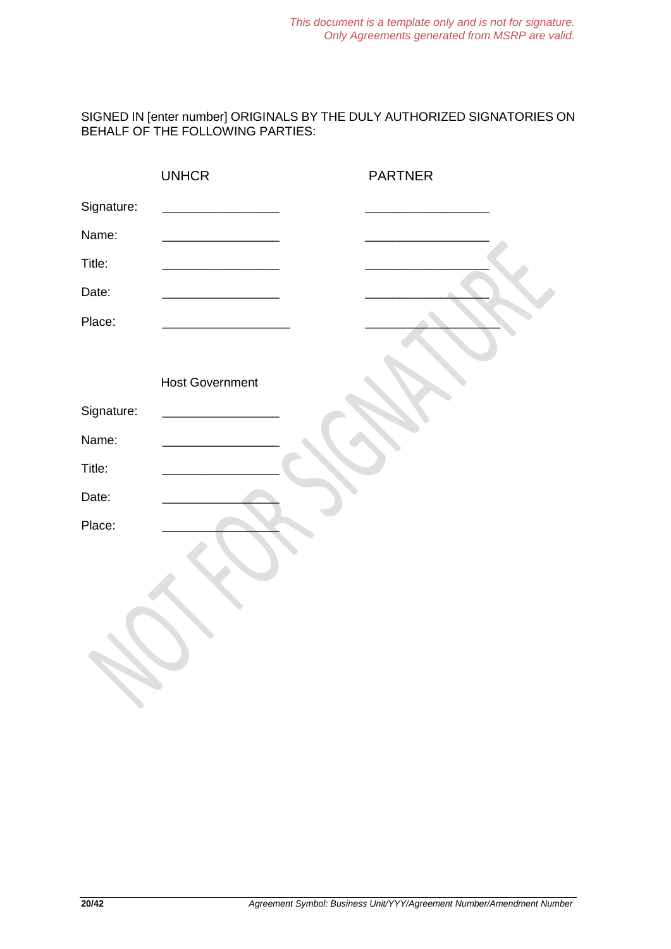SIGNED IN [enter number] ORIGINALS BY THE DULY AUTHORIZED SIGNATORIES ON BEHALF OF THE FOLLOWING PARTIES:

|            | <b>UNHCR</b>           | <b>PARTNER</b> |
|------------|------------------------|----------------|
| Signature: |                        |                |
| Name:      |                        |                |
| Title:     |                        |                |
| Date:      |                        |                |
| Place:     |                        |                |
|            |                        |                |
|            | <b>Host Government</b> |                |
| Signature: |                        |                |
| Name:      |                        |                |
| Title:     |                        |                |
| Date:      |                        |                |
| Place:     |                        |                |
|            |                        |                |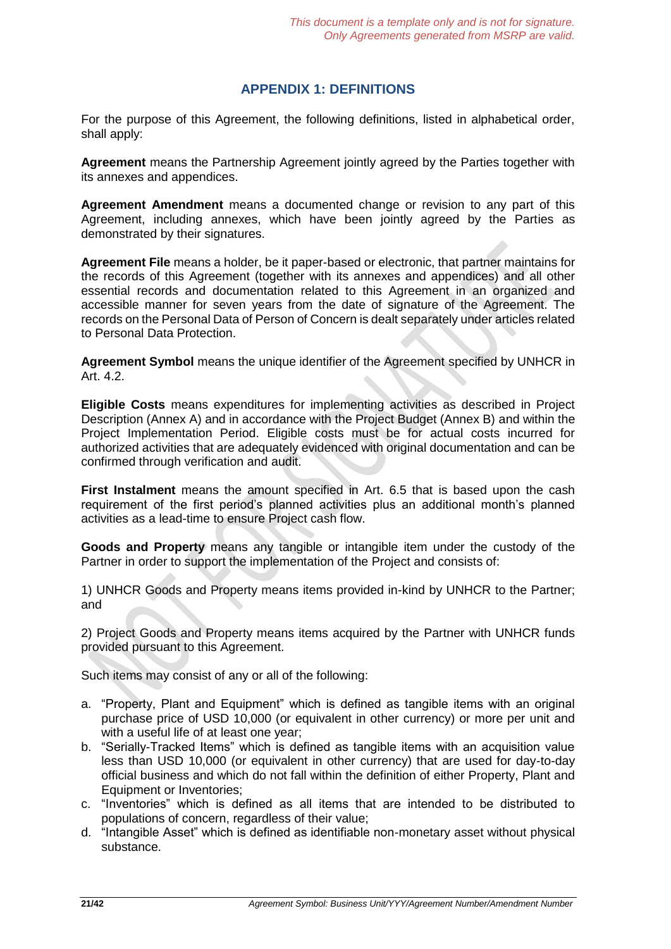# **APPENDIX 1: DEFINITIONS**

For the purpose of this Agreement, the following definitions, listed in alphabetical order, shall apply:

**Agreement** means the Partnership Agreement jointly agreed by the Parties together with its annexes and appendices.

**Agreement Amendment** means a documented change or revision to any part of this Agreement, including annexes, which have been jointly agreed by the Parties as demonstrated by their signatures.

**Agreement File** means a holder, be it paper-based or electronic, that partner maintains for the records of this Agreement (together with its annexes and appendices) and all other essential records and documentation related to this Agreement in an organized and accessible manner for seven years from the date of signature of the Agreement. The records on the Personal Data of Person of Concern is dealt separately under articles related to Personal Data Protection.

**Agreement Symbol** means the unique identifier of the Agreement specified by UNHCR in Art. 4.2.

**Eligible Costs** means expenditures for implementing activities as described in Project Description (Annex A) and in accordance with the Project Budget (Annex B) and within the Project Implementation Period. Eligible costs must be for actual costs incurred for authorized activities that are adequately evidenced with original documentation and can be confirmed through verification and audit.

**First Instalment** means the amount specified in Art. 6.5 that is based upon the cash requirement of the first period's planned activities plus an additional month's planned activities as a lead-time to ensure Project cash flow.

**Goods and Property** means any tangible or intangible item under the custody of the Partner in order to support the implementation of the Project and consists of:

1) UNHCR Goods and Property means items provided in-kind by UNHCR to the Partner; and

2) Project Goods and Property means items acquired by the Partner with UNHCR funds provided pursuant to this Agreement.

Such items may consist of any or all of the following:

- a. "Property, Plant and Equipment" which is defined as tangible items with an original purchase price of USD 10,000 (or equivalent in other currency) or more per unit and with a useful life of at least one year;
- b. "Serially-Tracked Items" which is defined as tangible items with an acquisition value less than USD 10,000 (or equivalent in other currency) that are used for day-to-day official business and which do not fall within the definition of either Property, Plant and Equipment or Inventories;
- c. "Inventories" which is defined as all items that are intended to be distributed to populations of concern, regardless of their value;
- d. "Intangible Asset" which is defined as identifiable non-monetary asset without physical substance.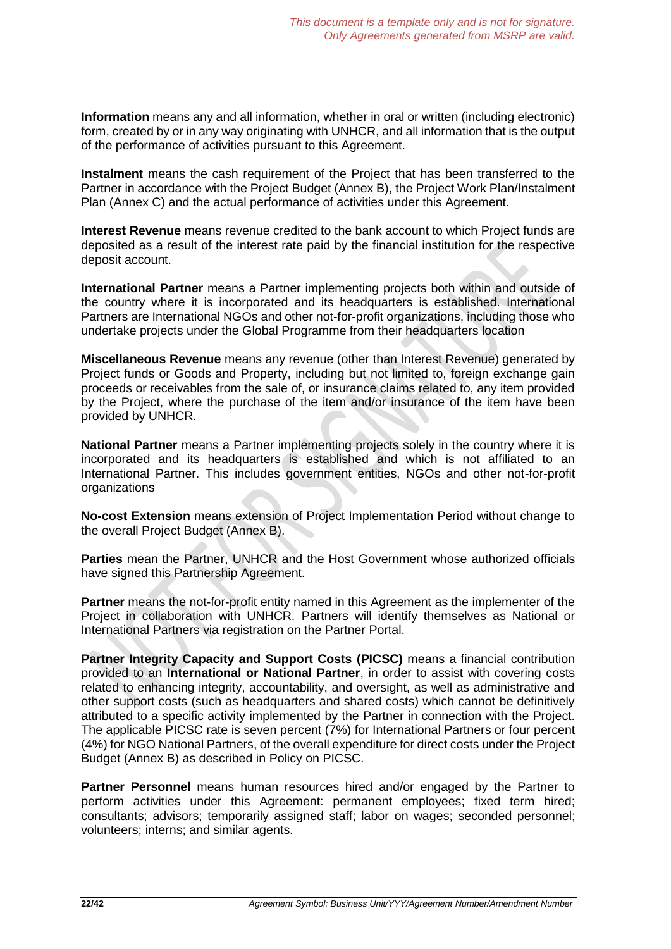**Information** means any and all information, whether in oral or written (including electronic) form, created by or in any way originating with UNHCR, and all information that is the output of the performance of activities pursuant to this Agreement.

**Instalment** means the cash requirement of the Project that has been transferred to the Partner in accordance with the Project Budget (Annex B), the Project Work Plan/Instalment Plan (Annex C) and the actual performance of activities under this Agreement.

**Interest Revenue** means revenue credited to the bank account to which Project funds are deposited as a result of the interest rate paid by the financial institution for the respective deposit account.

**International Partner** means a Partner implementing projects both within and outside of the country where it is incorporated and its headquarters is established. International Partners are International NGOs and other not-for-profit organizations, including those who undertake projects under the Global Programme from their headquarters location

**Miscellaneous Revenue** means any revenue (other than Interest Revenue) generated by Project funds or Goods and Property, including but not limited to, foreign exchange gain proceeds or receivables from the sale of, or insurance claims related to, any item provided by the Project, where the purchase of the item and/or insurance of the item have been provided by UNHCR.

**National Partner** means a Partner implementing projects solely in the country where it is incorporated and its headquarters is established and which is not affiliated to an International Partner. This includes government entities, NGOs and other not-for-profit organizations

**No-cost Extension** means extension of Project Implementation Period without change to the overall Project Budget (Annex B).

**Parties** mean the Partner, UNHCR and the Host Government whose authorized officials have signed this Partnership Agreement.

**Partner** means the not-for-profit entity named in this Agreement as the implementer of the Project in collaboration with UNHCR. Partners will identify themselves as National or International Partners via registration on the Partner Portal.

**Partner Integrity Capacity and Support Costs (PICSC)** means a financial contribution provided to an **International or National Partner**, in order to assist with covering costs related to enhancing integrity, accountability, and oversight, as well as administrative and other support costs (such as headquarters and shared costs) which cannot be definitively attributed to a specific activity implemented by the Partner in connection with the Project. The applicable PICSC rate is seven percent (7%) for International Partners or four percent (4%) for NGO National Partners, of the overall expenditure for direct costs under the Project Budget (Annex B) as described in Policy on PICSC.

**Partner Personnel** means human resources hired and/or engaged by the Partner to perform activities under this Agreement: permanent employees; fixed term hired; consultants; advisors; temporarily assigned staff; labor on wages; seconded personnel; volunteers; interns; and similar agents.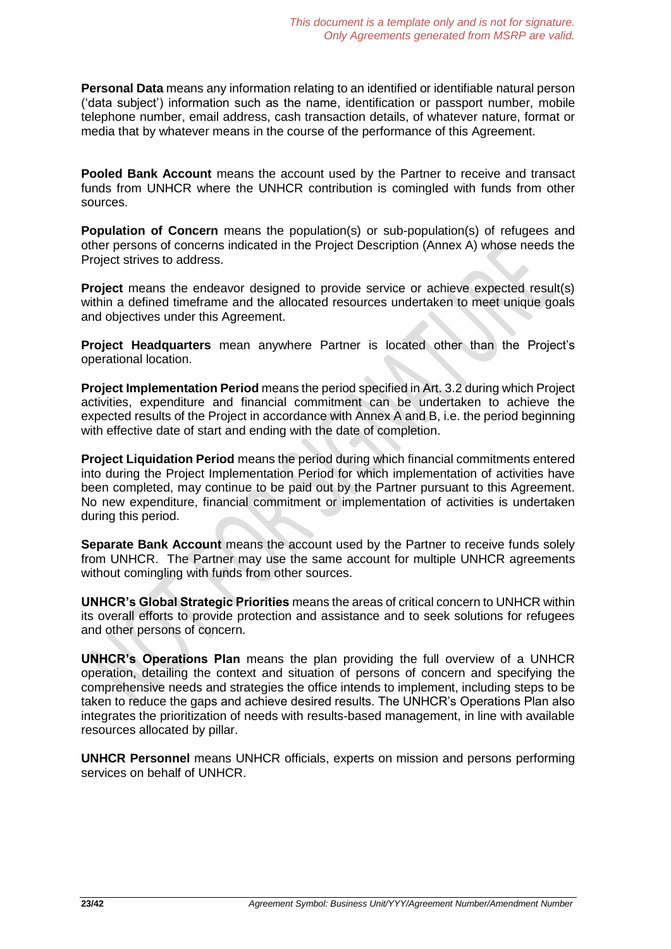**Personal Data** means any information relating to an identified or identifiable natural person ('data subject') information such as the name, identification or passport number, mobile telephone number, email address, cash transaction details, of whatever nature, format or media that by whatever means in the course of the performance of this Agreement.

**Pooled Bank Account** means the account used by the Partner to receive and transact funds from UNHCR where the UNHCR contribution is comingled with funds from other sources.

**Population of Concern** means the population(s) or sub-population(s) of refugees and other persons of concerns indicated in the Project Description (Annex A) whose needs the Project strives to address.

**Project** means the endeavor designed to provide service or achieve expected result(s) within a defined timeframe and the allocated resources undertaken to meet unique goals and objectives under this Agreement.

**Project Headquarters** mean anywhere Partner is located other than the Project's operational location.

**Project Implementation Period** means the period specified in Art. 3.2 during which Project activities, expenditure and financial commitment can be undertaken to achieve the expected results of the Project in accordance with Annex A and B, i.e. the period beginning with effective date of start and ending with the date of completion.

**Project Liquidation Period** means the period during which financial commitments entered into during the Project Implementation Period for which implementation of activities have been completed, may continue to be paid out by the Partner pursuant to this Agreement. No new expenditure, financial commitment or implementation of activities is undertaken during this period.

**Separate Bank Account** means the account used by the Partner to receive funds solely from UNHCR. The Partner may use the same account for multiple UNHCR agreements without comingling with funds from other sources.

**UNHCR's Global Strategic Priorities** means the areas of critical concern to UNHCR within its overall efforts to provide protection and assistance and to seek solutions for refugees and other persons of concern.

**UNHCR's Operations Plan** means the plan providing the full overview of a UNHCR operation, detailing the context and situation of persons of concern and specifying the comprehensive needs and strategies the office intends to implement, including steps to be taken to reduce the gaps and achieve desired results. The UNHCR's Operations Plan also integrates the prioritization of needs with results-based management, in line with available resources allocated by pillar.

**UNHCR Personnel** means UNHCR officials, experts on mission and persons performing services on behalf of UNHCR.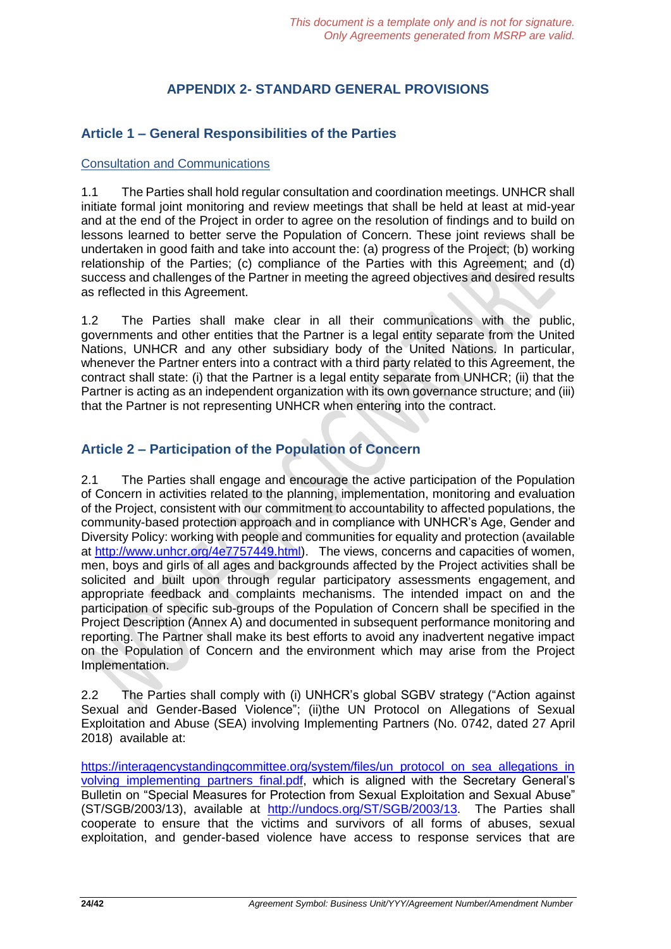# **APPENDIX 2- STANDARD GENERAL PROVISIONS**

# **Article 1 – General Responsibilities of the Parties**

### Consultation and Communications

1.1 The Parties shall hold regular consultation and coordination meetings. UNHCR shall initiate formal joint monitoring and review meetings that shall be held at least at mid-year and at the end of the Project in order to agree on the resolution of findings and to build on lessons learned to better serve the Population of Concern. These joint reviews shall be undertaken in good faith and take into account the: (a) progress of the Project; (b) working relationship of the Parties; (c) compliance of the Parties with this Agreement; and (d) success and challenges of the Partner in meeting the agreed objectives and desired results as reflected in this Agreement.

1.2 The Parties shall make clear in all their communications with the public, governments and other entities that the Partner is a legal entity separate from the United Nations, UNHCR and any other subsidiary body of the United Nations. In particular, whenever the Partner enters into a contract with a third party related to this Agreement, the contract shall state: (i) that the Partner is a legal entity separate from UNHCR; (ii) that the Partner is acting as an independent organization with its own governance structure; and (iii) that the Partner is not representing UNHCR when entering into the contract.

# **Article 2 – Participation of the Population of Concern**

2.1 The Parties shall engage and encourage the active participation of the Population of Concern in activities related to the planning, implementation, monitoring and evaluation of the Project, consistent with our commitment to accountability to affected populations, the community-based protection approach and in compliance with UNHCR's Age, Gender and Diversity Policy: working with people and communities for equality and protection (available at [http://www.unhcr.org/4e7757449.html\)](http://www.unhcr.org/4e7757449.html). The views, concerns and capacities of women, men, boys and girls of all ages and backgrounds affected by the Project activities shall be solicited and built upon through regular participatory assessments engagement, and appropriate feedback and complaints mechanisms. The intended impact on and the participation of specific sub-groups of the Population of Concern shall be specified in the Project Description (Annex A) and documented in subsequent performance monitoring and reporting. The Partner shall make its best efforts to avoid any inadvertent negative impact on the Population of Concern and the environment which may arise from the Project Implementation.

2.2 The Parties shall comply with (i) UNHCR's global SGBV strategy ("Action against Sexual and Gender-Based Violence"; (ii)the UN Protocol on Allegations of Sexual Exploitation and Abuse (SEA) [involving Implementing Partners \(No. 0742, dated 27](https://intranet.unhcr.org/content/dam/unhcr/intranet/staff%20support/implementing-partnerships/documents/sea/UN%20Protocol%20on%20SEA%20involving%20partners.pdf) April [2018\)](https://intranet.unhcr.org/content/dam/unhcr/intranet/staff%20support/implementing-partnerships/documents/sea/UN%20Protocol%20on%20SEA%20involving%20partners.pdf) available at:

https://interagencystandingcommittee.org/system/files/un\_protocol\_on\_sea\_allegations\_in volving implementing partners final.pdf, which is aligned with the Secretary General's Bulletin on "Special Measures for Protection from Sexual Exploitation and Sexual Abuse" (ST/SGB/2003/13), available at [http://undocs.org/ST/SGB/2003/13.](http://undocs.org/ST/SGB/2003/13) The Parties shall cooperate to ensure that the victims and survivors of all forms of abuses, sexual exploitation, and gender-based violence have access to response services that are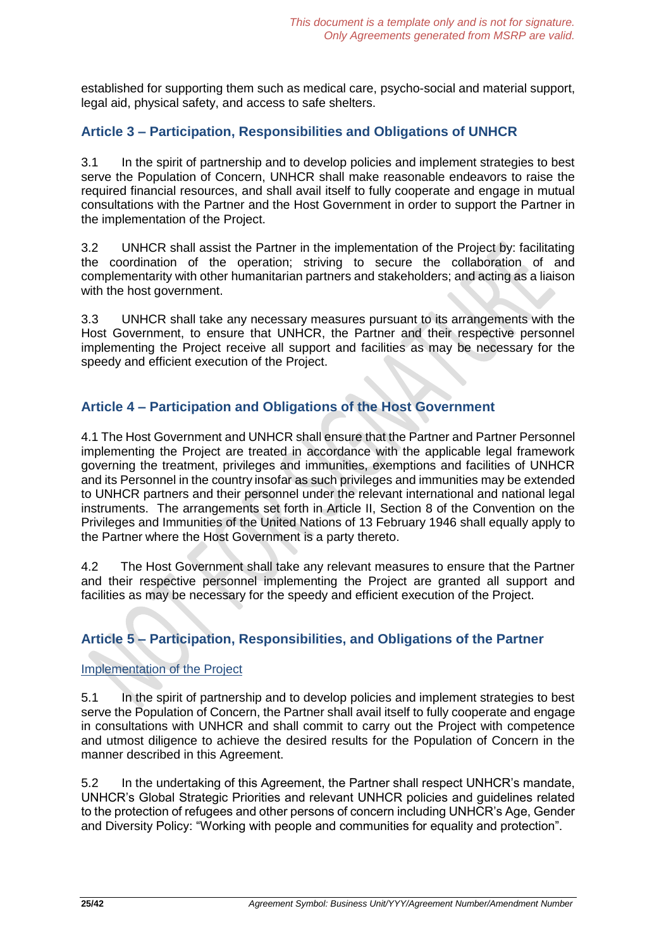established for supporting them such as medical care, psycho-social and material support, legal aid, physical safety, and access to safe shelters.

# **Article 3 – Participation, Responsibilities and Obligations of UNHCR**

3.1 In the spirit of partnership and to develop policies and implement strategies to best serve the Population of Concern, UNHCR shall make reasonable endeavors to raise the required financial resources, and shall avail itself to fully cooperate and engage in mutual consultations with the Partner and the Host Government in order to support the Partner in the implementation of the Project.

3.2 UNHCR shall assist the Partner in the implementation of the Project by: facilitating the coordination of the operation; striving to secure the collaboration of and complementarity with other humanitarian partners and stakeholders; and acting as a liaison with the host government.

3.3 UNHCR shall take any necessary measures pursuant to its arrangements with the Host Government, to ensure that UNHCR, the Partner and their respective personnel implementing the Project receive all support and facilities as may be necessary for the speedy and efficient execution of the Project.

# **Article 4 – Participation and Obligations of the Host Government**

4.1 The Host Government and UNHCR shall ensure that the Partner and Partner Personnel implementing the Project are treated in accordance with the applicable legal framework governing the treatment, privileges and immunities, exemptions and facilities of UNHCR and its Personnel in the country insofar as such privileges and immunities may be extended to UNHCR partners and their personnel under the relevant international and national legal instruments. The arrangements set forth in Article II, Section 8 of the Convention on the Privileges and Immunities of the United Nations of 13 February 1946 shall equally apply to the Partner where the Host Government is a party thereto.

4.2 The Host Government shall take any relevant measures to ensure that the Partner and their respective personnel implementing the Project are granted all support and facilities as may be necessary for the speedy and efficient execution of the Project.

# **Article 5 – Participation, Responsibilities, and Obligations of the Partner**

### Implementation of the Project

5.1 In the spirit of partnership and to develop policies and implement strategies to best serve the Population of Concern, the Partner shall avail itself to fully cooperate and engage in consultations with UNHCR and shall commit to carry out the Project with competence and utmost diligence to achieve the desired results for the Population of Concern in the manner described in this Agreement.

5.2 In the undertaking of this Agreement, the Partner shall respect UNHCR's mandate, UNHCR's Global Strategic Priorities and relevant UNHCR policies and guidelines related to the protection of refugees and other persons of concern including UNHCR's Age, Gender and Diversity Policy: "Working with people and communities for equality and protection".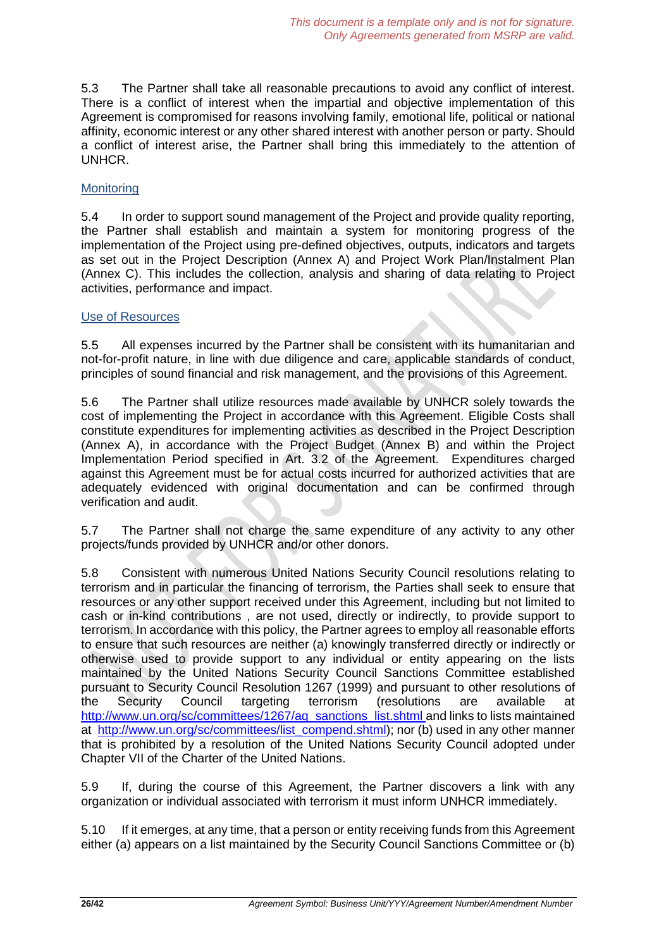5.3 The Partner shall take all reasonable precautions to avoid any conflict of interest. There is a conflict of interest when the impartial and objective implementation of this Agreement is compromised for reasons involving family, emotional life, political or national affinity, economic interest or any other shared interest with another person or party. Should a conflict of interest arise, the Partner shall bring this immediately to the attention of UNHCR.

### **Monitoring**

5.4 In order to support sound management of the Project and provide quality reporting, the Partner shall establish and maintain a system for monitoring progress of the implementation of the Project using pre-defined objectives, outputs, indicators and targets as set out in the Project Description (Annex A) and Project Work Plan/Instalment Plan (Annex C). This includes the collection, analysis and sharing of data relating to Project activities, performance and impact.

### Use of Resources

5.5 All expenses incurred by the Partner shall be consistent with its humanitarian and not-for-profit nature, in line with due diligence and care, applicable standards of conduct, principles of sound financial and risk management, and the provisions of this Agreement.

5.6 The Partner shall utilize resources made available by UNHCR solely towards the cost of implementing the Project in accordance with this Agreement. Eligible Costs shall constitute expenditures for implementing activities as described in the Project Description (Annex A), in accordance with the Project Budget (Annex B) and within the Project Implementation Period specified in Art. 3.2 of the Agreement. Expenditures charged against this Agreement must be for actual costs incurred for authorized activities that are adequately evidenced with original documentation and can be confirmed through verification and audit.

5.7 The Partner shall not charge the same expenditure of any activity to any other projects/funds provided by UNHCR and/or other donors.

5.8 Consistent with numerous United Nations Security Council resolutions relating to terrorism and in particular the financing of terrorism, the Parties shall seek to ensure that resources or any other support received under this Agreement, including but not limited to cash or in-kind contributions , are not used, directly or indirectly, to provide support to terrorism. In accordance with this policy, the Partner agrees to employ all reasonable efforts to ensure that such resources are neither (a) knowingly transferred directly or indirectly or otherwise used to provide support to any individual or entity appearing on the lists maintained by the United Nations Security Council Sanctions Committee established pursuant to Security Council Resolution 1267 (1999) and pursuant to other resolutions of the Security Council targeting terrorism (resolutions are available at [http://www.un.org/sc/committees/1267/aq\\_sanctions\\_list.shtml](http://www.un.org/sc/committees/1267/aq_sanctions_list.shtml) and links to lists maintained at [http://www.un.org/sc/committees/list\\_compend.shtml\)](http://www.un.org/sc/committees/list_compend.shtml); nor (b) used in any other manner that is prohibited by a resolution of the United Nations Security Council adopted under Chapter VII of the Charter of the United Nations.

5.9 If, during the course of this Agreement, the Partner discovers a link with any organization or individual associated with terrorism it must inform UNHCR immediately.

5.10 If it emerges, at any time, that a person or entity receiving funds from this Agreement either (a) appears on a list maintained by the Security Council Sanctions Committee or (b)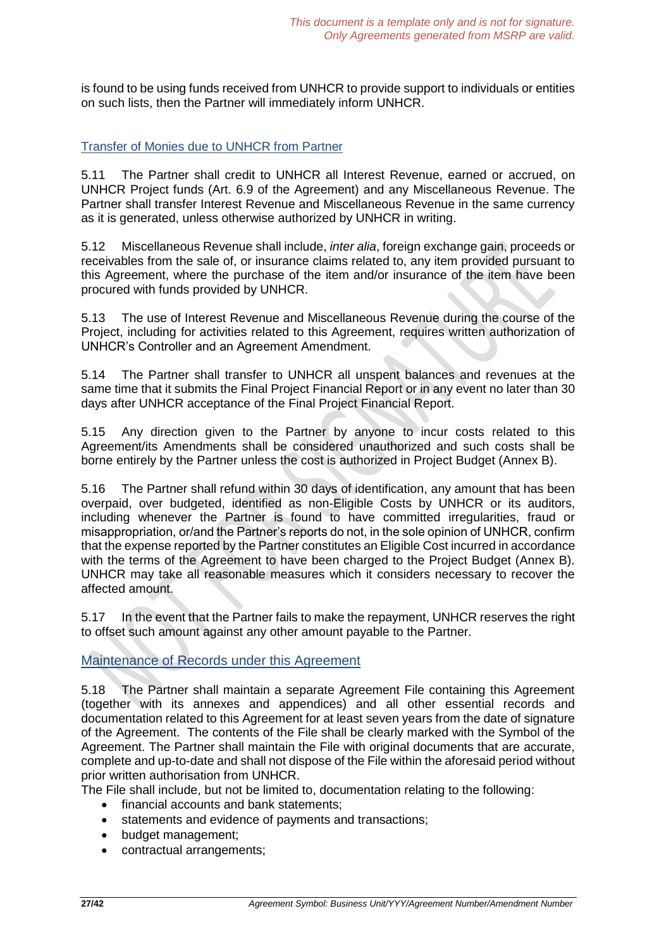is found to be using funds received from UNHCR to provide support to individuals or entities on such lists, then the Partner will immediately inform UNHCR.

### Transfer of Monies due to UNHCR from Partner

5.11 The Partner shall credit to UNHCR all Interest Revenue, earned or accrued, on UNHCR Project funds (Art. 6.9 of the Agreement) and any Miscellaneous Revenue. The Partner shall transfer Interest Revenue and Miscellaneous Revenue in the same currency as it is generated, unless otherwise authorized by UNHCR in writing.

5.12 Miscellaneous Revenue shall include, *inter alia*, foreign exchange gain, proceeds or receivables from the sale of, or insurance claims related to, any item provided pursuant to this Agreement, where the purchase of the item and/or insurance of the item have been procured with funds provided by UNHCR.

5.13 The use of Interest Revenue and Miscellaneous Revenue during the course of the Project, including for activities related to this Agreement, requires written authorization of UNHCR's Controller and an Agreement Amendment.

5.14 The Partner shall transfer to UNHCR all unspent balances and revenues at the same time that it submits the Final Project Financial Report or in any event no later than 30 days after UNHCR acceptance of the Final Project Financial Report.

5.15 Any direction given to the Partner by anyone to incur costs related to this Agreement/its Amendments shall be considered unauthorized and such costs shall be borne entirely by the Partner unless the cost is authorized in Project Budget (Annex B).

5.16 The Partner shall refund within 30 days of identification, any amount that has been overpaid, over budgeted, identified as non-Eligible Costs by UNHCR or its auditors, including whenever the Partner is found to have committed irregularities, fraud or misappropriation, or/and the Partner's reports do not, in the sole opinion of UNHCR, confirm that the expense reported by the Partner constitutes an Eligible Cost incurred in accordance with the terms of the Agreement to have been charged to the Project Budget (Annex B). UNHCR may take all reasonable measures which it considers necessary to recover the affected amount.

5.17 In the event that the Partner fails to make the repayment, UNHCR reserves the right to offset such amount against any other amount payable to the Partner.

### Maintenance of Records under this Agreement

5.18 The Partner shall maintain a separate Agreement File containing this Agreement (together with its annexes and appendices) and all other essential records and documentation related to this Agreement for at least seven years from the date of signature of the Agreement. The contents of the File shall be clearly marked with the Symbol of the Agreement. The Partner shall maintain the File with original documents that are accurate, complete and up-to-date and shall not dispose of the File within the aforesaid period without prior written authorisation from UNHCR.

The File shall include, but not be limited to, documentation relating to the following:

- financial accounts and bank statements;
- statements and evidence of payments and transactions;
- budget management;
- contractual arrangements;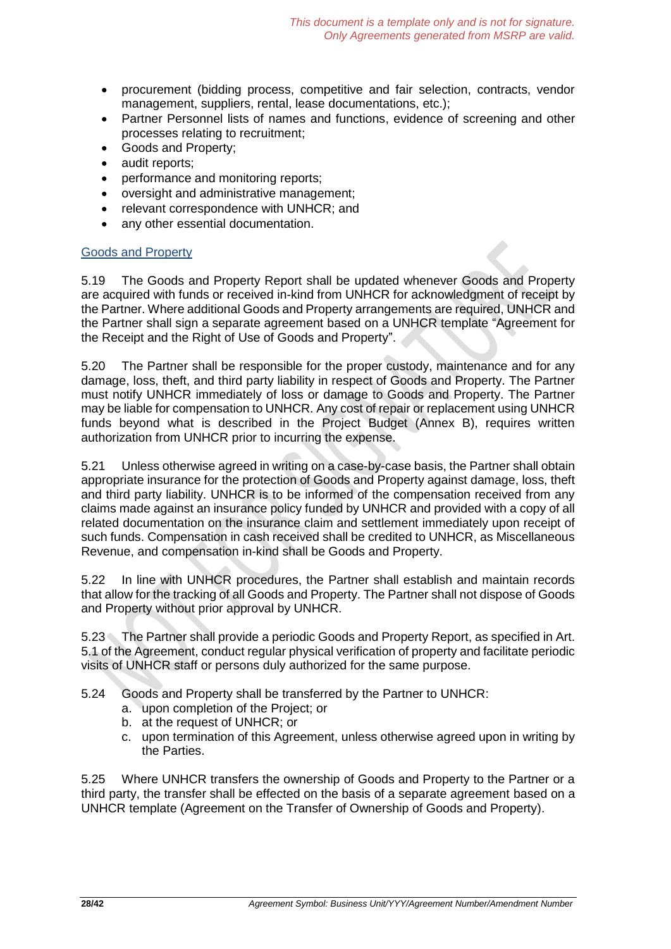- procurement (bidding process, competitive and fair selection, contracts, vendor management, suppliers, rental, lease documentations, etc.);
- Partner Personnel lists of names and functions, evidence of screening and other processes relating to recruitment;
- Goods and Property;
- audit reports;
- performance and monitoring reports;
- oversight and administrative management;
- relevant correspondence with UNHCR; and
- any other essential documentation.

### Goods and Property

5.19 The Goods and Property Report shall be updated whenever Goods and Property are acquired with funds or received in-kind from UNHCR for acknowledgment of receipt by the Partner. Where additional Goods and Property arrangements are required, UNHCR and the Partner shall sign a separate agreement based on a UNHCR template "Agreement for the Receipt and the Right of Use of Goods and Property".

5.20 The Partner shall be responsible for the proper custody, maintenance and for any damage, loss, theft, and third party liability in respect of Goods and Property. The Partner must notify UNHCR immediately of loss or damage to Goods and Property. The Partner may be liable for compensation to UNHCR. Any cost of repair or replacement using UNHCR funds beyond what is described in the Project Budget (Annex B), requires written authorization from UNHCR prior to incurring the expense.

5.21 Unless otherwise agreed in writing on a case-by-case basis, the Partner shall obtain appropriate insurance for the protection of Goods and Property against damage, loss, theft and third party liability. UNHCR is to be informed of the compensation received from any claims made against an insurance policy funded by UNHCR and provided with a copy of all related documentation on the insurance claim and settlement immediately upon receipt of such funds. Compensation in cash received shall be credited to UNHCR, as Miscellaneous Revenue, and compensation in-kind shall be Goods and Property.

5.22 In line with UNHCR procedures, the Partner shall establish and maintain records that allow for the tracking of all Goods and Property. The Partner shall not dispose of Goods and Property without prior approval by UNHCR.

5.23 The Partner shall provide a periodic Goods and Property Report, as specified in Art. 5.1 of the Agreement, conduct regular physical verification of property and facilitate periodic visits of UNHCR staff or persons duly authorized for the same purpose.

- 5.24 Goods and Property shall be transferred by the Partner to UNHCR:
	- a. upon completion of the Project; or
	- b. at the request of UNHCR; or
	- c. upon termination of this Agreement, unless otherwise agreed upon in writing by the Parties.

5.25 Where UNHCR transfers the ownership of Goods and Property to the Partner or a third party, the transfer shall be effected on the basis of a separate agreement based on a UNHCR template (Agreement on the Transfer of Ownership of Goods and Property).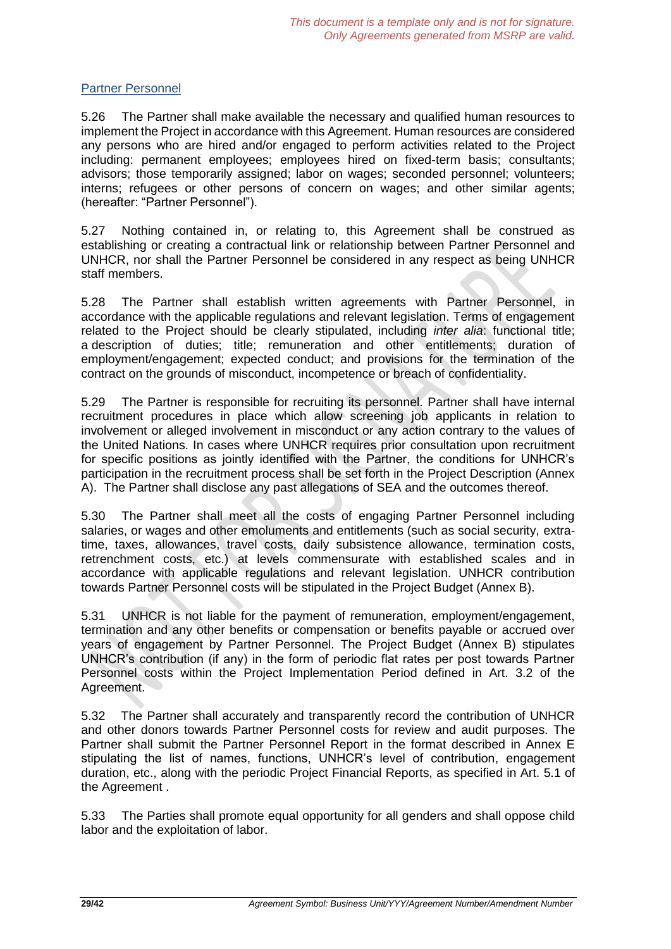### Partner Personnel

5.26 The Partner shall make available the necessary and qualified human resources to implement the Project in accordance with this Agreement. Human resources are considered any persons who are hired and/or engaged to perform activities related to the Project including: permanent employees; employees hired on fixed-term basis; consultants; advisors; those temporarily assigned; labor on wages; seconded personnel; volunteers; interns; refugees or other persons of concern on wages; and other similar agents; (hereafter: "Partner Personnel").

5.27 Nothing contained in, or relating to, this Agreement shall be construed as establishing or creating a contractual link or relationship between Partner Personnel and UNHCR, nor shall the Partner Personnel be considered in any respect as being UNHCR staff members.

5.28 The Partner shall establish written agreements with Partner Personnel, in accordance with the applicable regulations and relevant legislation. Terms of engagement related to the Project should be clearly stipulated, including *inter alia*: functional title; a description of duties; title; remuneration and other entitlements; duration of employment/engagement; expected conduct; and provisions for the termination of the contract on the grounds of misconduct, incompetence or breach of confidentiality.

5.29 The Partner is responsible for recruiting its personnel. Partner shall have internal recruitment procedures in place which allow screening job applicants in relation to involvement or alleged involvement in misconduct or any action contrary to the values of the United Nations. In cases where UNHCR requires prior consultation upon recruitment for specific positions as jointly identified with the Partner, the conditions for UNHCR's participation in the recruitment process shall be set forth in the Project Description (Annex A). The Partner shall disclose any past allegations of SEA and the outcomes thereof.

5.30 The Partner shall meet all the costs of engaging Partner Personnel including salaries, or wages and other emoluments and entitlements (such as social security, extratime, taxes, allowances, travel costs, daily subsistence allowance, termination costs, retrenchment costs, etc.) at levels commensurate with established scales and in accordance with applicable regulations and relevant legislation. UNHCR contribution towards Partner Personnel costs will be stipulated in the Project Budget (Annex B).

5.31 UNHCR is not liable for the payment of remuneration, employment/engagement, termination and any other benefits or compensation or benefits payable or accrued over years of engagement by Partner Personnel. The Project Budget (Annex B) stipulates UNHCR's contribution (if any) in the form of periodic flat rates per post towards Partner Personnel costs within the Project Implementation Period defined in Art. 3.2 of the Agreement.

5.32 The Partner shall accurately and transparently record the contribution of UNHCR and other donors towards Partner Personnel costs for review and audit purposes. The Partner shall submit the Partner Personnel Report in the format described in Annex E stipulating the list of names, functions, UNHCR's level of contribution, engagement duration, etc., along with the periodic Project Financial Reports, as specified in Art. 5.1 of the Agreement .

5.33 The Parties shall promote equal opportunity for all genders and shall oppose child labor and the exploitation of labor.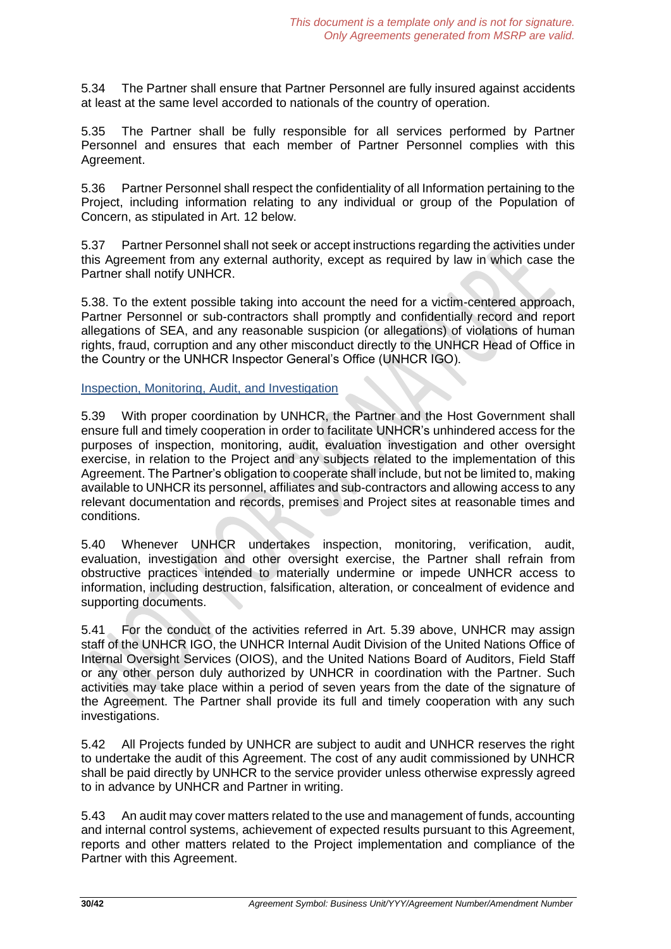5.34 The Partner shall ensure that Partner Personnel are fully insured against accidents at least at the same level accorded to nationals of the country of operation.

5.35 The Partner shall be fully responsible for all services performed by Partner Personnel and ensures that each member of Partner Personnel complies with this Agreement.

5.36 Partner Personnel shall respect the confidentiality of all Information pertaining to the Project, including information relating to any individual or group of the Population of Concern, as stipulated in Art. 12 below.

5.37 Partner Personnel shall not seek or accept instructions regarding the activities under this Agreement from any external authority, except as required by law in which case the Partner shall notify UNHCR.

5.38. To the extent possible taking into account the need for a victim-centered approach, Partner Personnel or sub-contractors shall promptly and confidentially record and report allegations of SEA, and any reasonable suspicion (or allegations) of violations of human rights, fraud, corruption and any other misconduct directly to the UNHCR Head of Office in the Country or the UNHCR Inspector General's Office (UNHCR IGO).

Inspection, Monitoring, Audit, and Investigation

5.39 With proper coordination by UNHCR, the Partner and the Host Government shall ensure full and timely cooperation in order to facilitate UNHCR's unhindered access for the purposes of inspection, monitoring, audit, evaluation investigation and other oversight exercise, in relation to the Project and any subjects related to the implementation of this Agreement. The Partner's obligation to cooperate shall include, but not be limited to, making available to UNHCR its personnel, affiliates and sub-contractors and allowing access to any relevant documentation and records, premises and Project sites at reasonable times and conditions.

5.40 Whenever UNHCR undertakes inspection, monitoring, verification, audit, evaluation, investigation and other oversight exercise, the Partner shall refrain from obstructive practices intended to materially undermine or impede UNHCR access to information, including destruction, falsification, alteration, or concealment of evidence and supporting documents.

5.41 For the conduct of the activities referred in Art. 5.39 above, UNHCR may assign staff of the UNHCR IGO, the UNHCR Internal Audit Division of the United Nations Office of Internal Oversight Services (OIOS), and the United Nations Board of Auditors, Field Staff or any other person duly authorized by UNHCR in coordination with the Partner. Such activities may take place within a period of seven years from the date of the signature of the Agreement. The Partner shall provide its full and timely cooperation with any such investigations.

5.42 All Projects funded by UNHCR are subject to audit and UNHCR reserves the right to undertake the audit of this Agreement. The cost of any audit commissioned by UNHCR shall be paid directly by UNHCR to the service provider unless otherwise expressly agreed to in advance by UNHCR and Partner in writing.

5.43 An audit may cover matters related to the use and management of funds, accounting and internal control systems, achievement of expected results pursuant to this Agreement, reports and other matters related to the Project implementation and compliance of the Partner with this Agreement.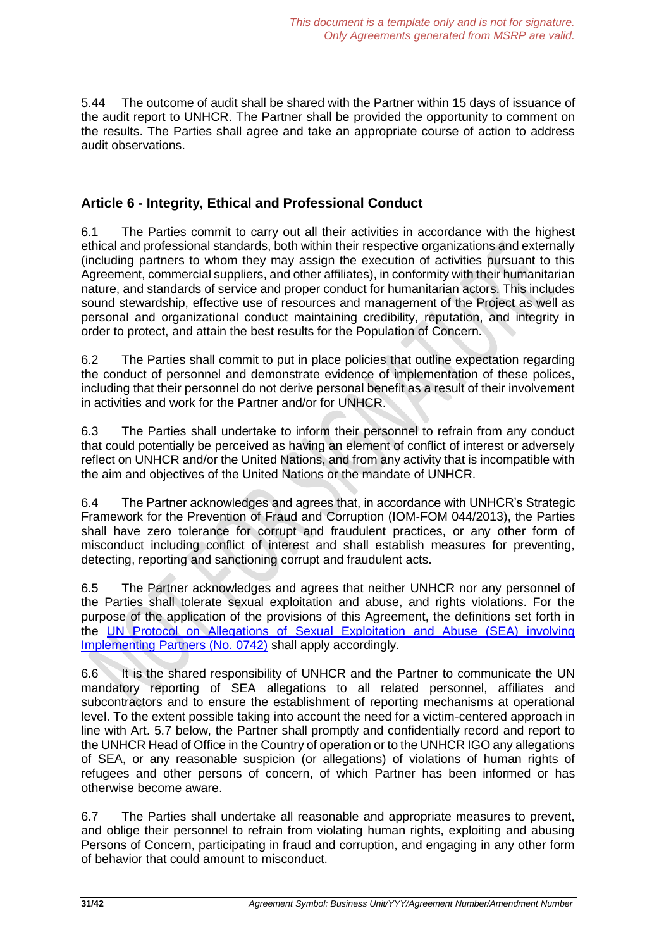5.44 The outcome of audit shall be shared with the Partner within 15 days of issuance of the audit report to UNHCR. The Partner shall be provided the opportunity to comment on the results. The Parties shall agree and take an appropriate course of action to address audit observations.

# **Article 6 - Integrity, Ethical and Professional Conduct**

6.1 The Parties commit to carry out all their activities in accordance with the highest ethical and professional standards, both within their respective organizations and externally (including partners to whom they may assign the execution of activities pursuant to this Agreement, commercial suppliers, and other affiliates), in conformity with their humanitarian nature, and standards of service and proper conduct for humanitarian actors. This includes sound stewardship, effective use of resources and management of the Project as well as personal and organizational conduct maintaining credibility, reputation, and integrity in order to protect, and attain the best results for the Population of Concern.

6.2 The Parties shall commit to put in place policies that outline expectation regarding the conduct of personnel and demonstrate evidence of implementation of these polices, including that their personnel do not derive personal benefit as a result of their involvement in activities and work for the Partner and/or for UNHCR.

6.3 The Parties shall undertake to inform their personnel to refrain from any conduct that could potentially be perceived as having an element of conflict of interest or adversely reflect on UNHCR and/or the United Nations, and from any activity that is incompatible with the aim and objectives of the United Nations or the mandate of UNHCR.

6.4 The Partner acknowledges and agrees that, in accordance with UNHCR's Strategic Framework for the Prevention of Fraud and Corruption (IOM-FOM 044/2013), the Parties shall have zero tolerance for corrupt and fraudulent practices, or any other form of misconduct including conflict of interest and shall establish measures for preventing, detecting, reporting and sanctioning corrupt and fraudulent acts.

6.5 The Partner acknowledges and agrees that neither UNHCR nor any personnel of the Parties shall tolerate sexual exploitation and abuse, and rights violations. For the purpose of the application of the provisions of this Agreement, the definitions set forth in the UN Protocol on Allegations of Sexual Exploitation and Abuse (SEA) involving Implementing Partners (No. 0742) shall apply accordingly.

6.6 It is the shared responsibility of UNHCR and the Partner to communicate the UN mandatory reporting of SEA allegations to all related personnel, affiliates and subcontractors and to ensure the establishment of reporting mechanisms at operational level. To the extent possible taking into account the need for a victim-centered approach in line with Art. 5.7 below, the Partner shall promptly and confidentially record and report to the UNHCR Head of Office in the Country of operation or to the UNHCR IGO any allegations of SEA, or any reasonable suspicion (or allegations) of violations of human rights of refugees and other persons of concern, of which Partner has been informed or has otherwise become aware.

6.7 The Parties shall undertake all reasonable and appropriate measures to prevent, and oblige their personnel to refrain from violating human rights, exploiting and abusing Persons of Concern, participating in fraud and corruption, and engaging in any other form of behavior that could amount to misconduct.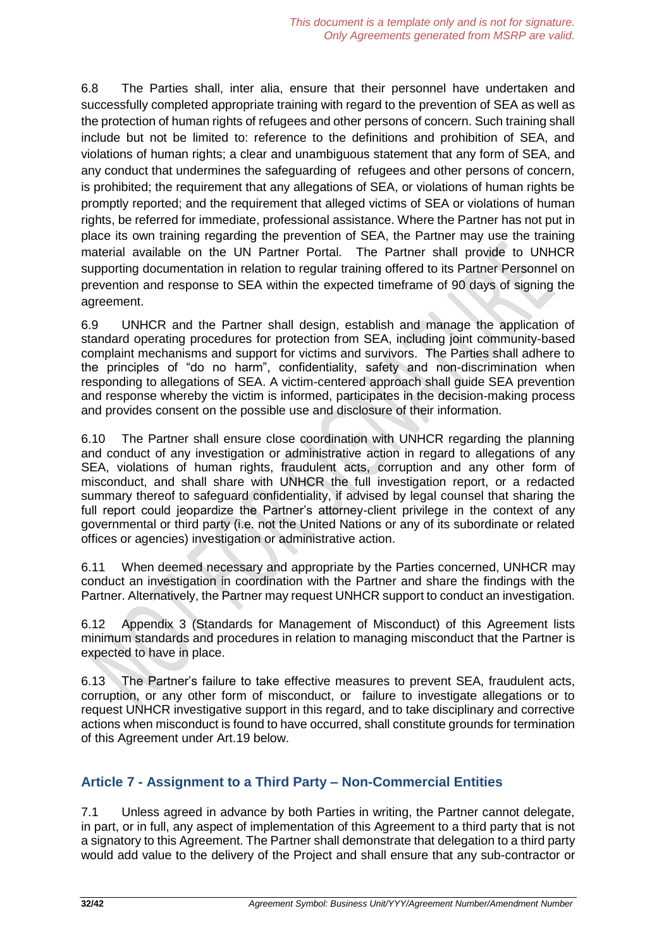6.8 The Parties shall, inter alia, ensure that their personnel have undertaken and successfully completed appropriate training with regard to the prevention of SEA as well as the protection of human rights of refugees and other persons of concern. Such training shall include but not be limited to: reference to the definitions and prohibition of SEA, and violations of human rights; a clear and unambiguous statement that any form of SEA, and any conduct that undermines the safeguarding of refugees and other persons of concern, is prohibited; the requirement that any allegations of SEA, or violations of human rights be promptly reported; and the requirement that alleged victims of SEA or violations of human rights, be referred for immediate, professional assistance. Where the Partner has not put in place its own training regarding the prevention of SEA, the Partner may use the training material available on the UN Partner Portal. The Partner shall provide to UNHCR supporting documentation in relation to regular training offered to its Partner Personnel on prevention and response to SEA within the expected timeframe of 90 days of signing the agreement.

6.9 UNHCR and the Partner shall design, establish and manage the application of standard operating procedures for protection from SEA, including joint community-based complaint mechanisms and support for victims and survivors. The Parties shall adhere to the principles of "do no harm", confidentiality, safety and non-discrimination when responding to allegations of SEA. A victim-centered approach shall guide SEA prevention and response whereby the victim is informed, participates in the decision-making process and provides consent on the possible use and disclosure of their information.

6.10 The Partner shall ensure close coordination with UNHCR regarding the planning and conduct of any investigation or administrative action in regard to allegations of any SEA, violations of human rights, fraudulent acts, corruption and any other form of misconduct, and shall share with UNHCR the full investigation report, or a redacted summary thereof to safeguard confidentiality, if advised by legal counsel that sharing the full report could jeopardize the Partner's attorney-client privilege in the context of any governmental or third party (i.e. not the United Nations or any of its subordinate or related offices or agencies) investigation or administrative action.

6.11 When deemed necessary and appropriate by the Parties concerned, UNHCR may conduct an investigation in coordination with the Partner and share the findings with the Partner. Alternatively, the Partner may request UNHCR support to conduct an investigation.

6.12 Appendix 3 (Standards for Management of Misconduct) of this Agreement lists minimum standards and procedures in relation to managing misconduct that the Partner is expected to have in place.

6.13 The Partner's failure to take effective measures to prevent SEA, fraudulent acts, corruption, or any other form of misconduct, or failure to investigate allegations or to request UNHCR investigative support in this regard, and to take disciplinary and corrective actions when misconduct is found to have occurred, shall constitute grounds for termination of this Agreement under Art.19 below.

# **Article 7 - Assignment to a Third Party – Non-Commercial Entities**

7.1 Unless agreed in advance by both Parties in writing, the Partner cannot delegate, in part, or in full, any aspect of implementation of this Agreement to a third party that is not a signatory to this Agreement. The Partner shall demonstrate that delegation to a third party would add value to the delivery of the Project and shall ensure that any sub-contractor or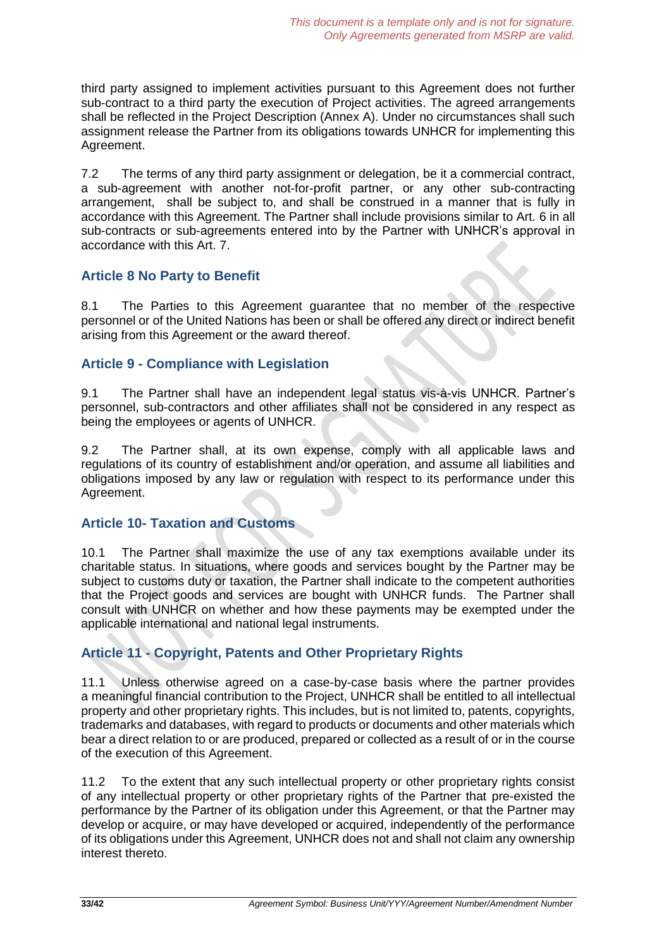third party assigned to implement activities pursuant to this Agreement does not further sub-contract to a third party the execution of Project activities. The agreed arrangements shall be reflected in the Project Description (Annex A). Under no circumstances shall such assignment release the Partner from its obligations towards UNHCR for implementing this Agreement.

7.2 The terms of any third party assignment or delegation, be it a commercial contract, a sub-agreement with another not-for-profit partner, or any other sub-contracting arrangement, shall be subject to, and shall be construed in a manner that is fully in accordance with this Agreement. The Partner shall include provisions similar to Art. 6 in all sub-contracts or sub-agreements entered into by the Partner with UNHCR's approval in accordance with this Art. 7.

# **Article 8 No Party to Benefit**

8.1 The Parties to this Agreement guarantee that no member of the respective personnel or of the United Nations has been or shall be offered any direct or indirect benefit arising from this Agreement or the award thereof.

# **Article 9 - Compliance with Legislation**

9.1 The Partner shall have an independent legal status vis-à-vis UNHCR. Partner's personnel, sub-contractors and other affiliates shall not be considered in any respect as being the employees or agents of UNHCR.

9.2 The Partner shall, at its own expense, comply with all applicable laws and regulations of its country of establishment and/or operation, and assume all liabilities and obligations imposed by any law or regulation with respect to its performance under this Agreement.

# **Article 10- Taxation and Customs**

10.1 The Partner shall maximize the use of any tax exemptions available under its charitable status. In situations, where goods and services bought by the Partner may be subject to customs duty or taxation, the Partner shall indicate to the competent authorities that the Project goods and services are bought with UNHCR funds. The Partner shall consult with UNHCR on whether and how these payments may be exempted under the applicable international and national legal instruments.

# **Article 11 - Copyright, Patents and Other Proprietary Rights**

11.1 Unless otherwise agreed on a case-by-case basis where the partner provides a meaningful financial contribution to the Project, UNHCR shall be entitled to all intellectual property and other proprietary rights. This includes, but is not limited to, patents, copyrights, trademarks and databases, with regard to products or documents and other materials which bear a direct relation to or are produced, prepared or collected as a result of or in the course of the execution of this Agreement.

11.2 To the extent that any such intellectual property or other proprietary rights consist of any intellectual property or other proprietary rights of the Partner that pre-existed the performance by the Partner of its obligation under this Agreement, or that the Partner may develop or acquire, or may have developed or acquired, independently of the performance of its obligations under this Agreement, UNHCR does not and shall not claim any ownership interest thereto.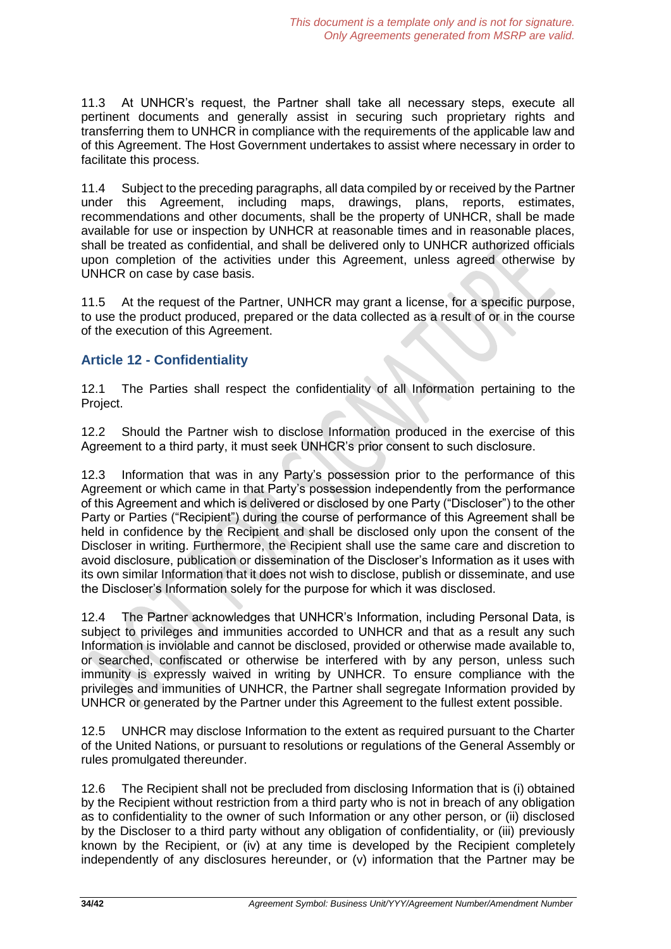11.3 At UNHCR's request, the Partner shall take all necessary steps, execute all pertinent documents and generally assist in securing such proprietary rights and transferring them to UNHCR in compliance with the requirements of the applicable law and of this Agreement. The Host Government undertakes to assist where necessary in order to facilitate this process.

11.4 Subject to the preceding paragraphs, all data compiled by or received by the Partner under this Agreement, including maps, drawings, plans, reports, estimates, recommendations and other documents, shall be the property of UNHCR, shall be made available for use or inspection by UNHCR at reasonable times and in reasonable places, shall be treated as confidential, and shall be delivered only to UNHCR authorized officials upon completion of the activities under this Agreement, unless agreed otherwise by UNHCR on case by case basis.

11.5 At the request of the Partner, UNHCR may grant a license, for a specific purpose, to use the product produced, prepared or the data collected as a result of or in the course of the execution of this Agreement.

# **Article 12 - Confidentiality**

12.1 The Parties shall respect the confidentiality of all Information pertaining to the Project.

12.2 Should the Partner wish to disclose Information produced in the exercise of this Agreement to a third party, it must seek UNHCR's prior consent to such disclosure.

12.3 Information that was in any Party's possession prior to the performance of this Agreement or which came in that Party's possession independently from the performance of this Agreement and which is delivered or disclosed by one Party ("Discloser") to the other Party or Parties ("Recipient") during the course of performance of this Agreement shall be held in confidence by the Recipient and shall be disclosed only upon the consent of the Discloser in writing. Furthermore, the Recipient shall use the same care and discretion to avoid disclosure, publication or dissemination of the Discloser's Information as it uses with its own similar Information that it does not wish to disclose, publish or disseminate, and use the Discloser's Information solely for the purpose for which it was disclosed.

12.4 The Partner acknowledges that UNHCR's Information, including Personal Data, is subject to privileges and immunities accorded to UNHCR and that as a result any such Information is inviolable and cannot be disclosed, provided or otherwise made available to, or searched, confiscated or otherwise be interfered with by any person, unless such immunity is expressly waived in writing by UNHCR. To ensure compliance with the privileges and immunities of UNHCR, the Partner shall segregate Information provided by UNHCR or generated by the Partner under this Agreement to the fullest extent possible.

12.5 UNHCR may disclose Information to the extent as required pursuant to the Charter of the United Nations, or pursuant to resolutions or regulations of the General Assembly or rules promulgated thereunder.

12.6 The Recipient shall not be precluded from disclosing Information that is (i) obtained by the Recipient without restriction from a third party who is not in breach of any obligation as to confidentiality to the owner of such Information or any other person, or (ii) disclosed by the Discloser to a third party without any obligation of confidentiality, or (iii) previously known by the Recipient, or (iv) at any time is developed by the Recipient completely independently of any disclosures hereunder, or (v) information that the Partner may be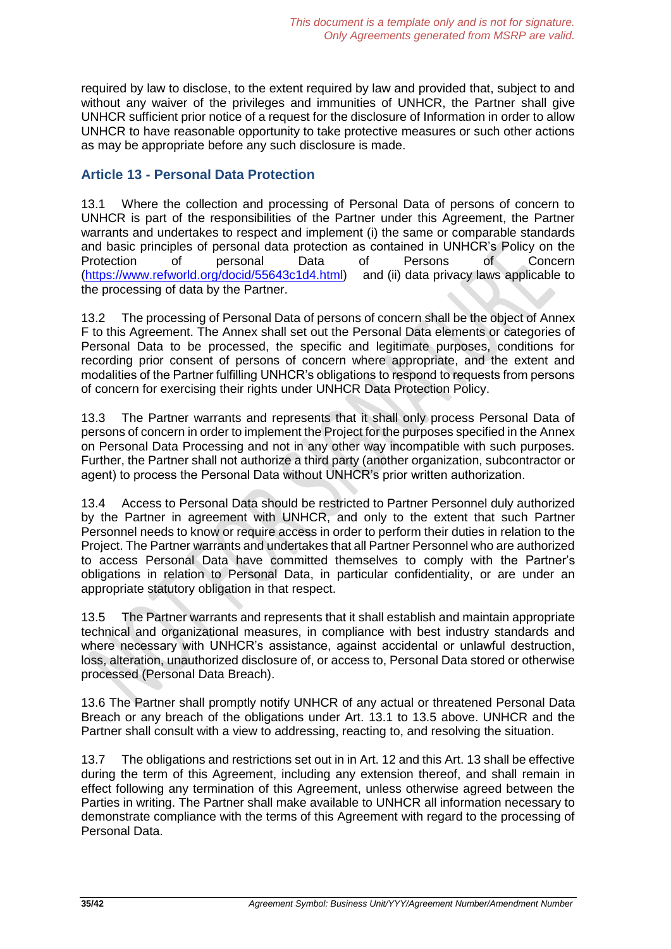required by law to disclose, to the extent required by law and provided that, subject to and without any waiver of the privileges and immunities of UNHCR, the Partner shall give UNHCR sufficient prior notice of a request for the disclosure of Information in order to allow UNHCR to have reasonable opportunity to take protective measures or such other actions as may be appropriate before any such disclosure is made.

# **Article 13 - Personal Data Protection**

13.1 Where the collection and processing of Personal Data of persons of concern to UNHCR is part of the responsibilities of the Partner under this Agreement, the Partner warrants and undertakes to respect and implement (i) the same or comparable standards and basic principles of personal data protection as contained in UNHCR's Policy on the<br>Protection of personal Data of Persons of Concern Protection of personal Data of Persons of Concern [\(https://www.refworld.org/docid/55643c1d4.html\)](https://www.refworld.org/docid/55643c1d4.html) and (ii) data privacy laws applicable to the processing of data by the Partner.

13.2 The processing of Personal Data of persons of concern shall be the object of Annex F to this Agreement. The Annex shall set out the Personal Data elements or categories of Personal Data to be processed, the specific and legitimate purposes, conditions for recording prior consent of persons of concern where appropriate, and the extent and modalities of the Partner fulfilling UNHCR's obligations to respond to requests from persons of concern for exercising their rights under UNHCR Data Protection Policy.

13.3 The Partner warrants and represents that it shall only process Personal Data of persons of concern in order to implement the Project for the purposes specified in the Annex on Personal Data Processing and not in any other way incompatible with such purposes. Further, the Partner shall not authorize a third party (another organization, subcontractor or agent) to process the Personal Data without UNHCR's prior written authorization.

13.4 Access to Personal Data should be restricted to Partner Personnel duly authorized by the Partner in agreement with UNHCR, and only to the extent that such Partner Personnel needs to know or require access in order to perform their duties in relation to the Project. The Partner warrants and undertakes that all Partner Personnel who are authorized to access Personal Data have committed themselves to comply with the Partner's obligations in relation to Personal Data, in particular confidentiality, or are under an appropriate statutory obligation in that respect.

13.5 The Partner warrants and represents that it shall establish and maintain appropriate technical and organizational measures, in compliance with best industry standards and where necessary with UNHCR's assistance, against accidental or unlawful destruction, loss, alteration, unauthorized disclosure of, or access to, Personal Data stored or otherwise processed (Personal Data Breach).

13.6 The Partner shall promptly notify UNHCR of any actual or threatened Personal Data Breach or any breach of the obligations under Art. 13.1 to 13.5 above. UNHCR and the Partner shall consult with a view to addressing, reacting to, and resolving the situation.

13.7 The obligations and restrictions set out in in Art. 12 and this Art. 13 shall be effective during the term of this Agreement, including any extension thereof, and shall remain in effect following any termination of this Agreement, unless otherwise agreed between the Parties in writing. The Partner shall make available to UNHCR all information necessary to demonstrate compliance with the terms of this Agreement with regard to the processing of Personal Data.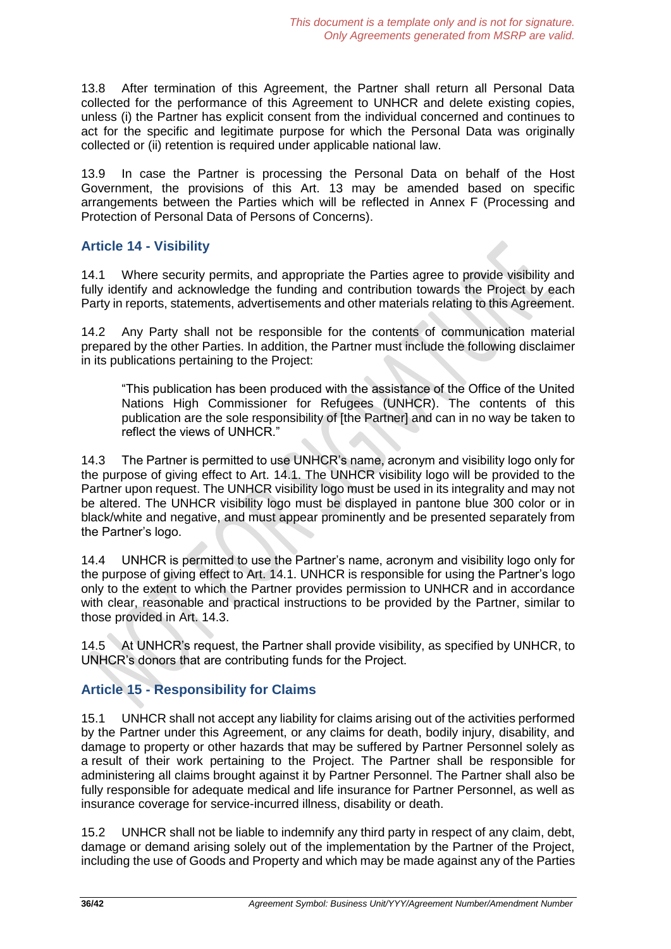13.8 After termination of this Agreement, the Partner shall return all Personal Data collected for the performance of this Agreement to UNHCR and delete existing copies, unless (i) the Partner has explicit consent from the individual concerned and continues to act for the specific and legitimate purpose for which the Personal Data was originally collected or (ii) retention is required under applicable national law.

13.9 In case the Partner is processing the Personal Data on behalf of the Host Government, the provisions of this Art. 13 may be amended based on specific arrangements between the Parties which will be reflected in Annex F (Processing and Protection of Personal Data of Persons of Concerns).

# **Article 14 - Visibility**

14.1 Where security permits, and appropriate the Parties agree to provide visibility and fully identify and acknowledge the funding and contribution towards the Project by each Party in reports, statements, advertisements and other materials relating to this Agreement.

14.2 Any Party shall not be responsible for the contents of communication material prepared by the other Parties. In addition, the Partner must include the following disclaimer in its publications pertaining to the Project:

"This publication has been produced with the assistance of the Office of the United Nations High Commissioner for Refugees (UNHCR). The contents of this publication are the sole responsibility of [the Partner] and can in no way be taken to reflect the views of UNHCR."

14.3 The Partner is permitted to use UNHCR's name, acronym and visibility logo only for the purpose of giving effect to Art. 14.1. The UNHCR visibility logo will be provided to the Partner upon request. The UNHCR visibility logo must be used in its integrality and may not be altered. The UNHCR visibility logo must be displayed in pantone blue 300 color or in black/white and negative, and must appear prominently and be presented separately from the Partner's logo.

14.4 UNHCR is permitted to use the Partner's name, acronym and visibility logo only for the purpose of giving effect to Art. 14.1. UNHCR is responsible for using the Partner's logo only to the extent to which the Partner provides permission to UNHCR and in accordance with clear, reasonable and practical instructions to be provided by the Partner, similar to those provided in Art. 14.3.

14.5 At UNHCR's request, the Partner shall provide visibility, as specified by UNHCR, to UNHCR's donors that are contributing funds for the Project.

# **Article 15 - Responsibility for Claims**

15.1 UNHCR shall not accept any liability for claims arising out of the activities performed by the Partner under this Agreement, or any claims for death, bodily injury, disability, and damage to property or other hazards that may be suffered by Partner Personnel solely as a result of their work pertaining to the Project. The Partner shall be responsible for administering all claims brought against it by Partner Personnel. The Partner shall also be fully responsible for adequate medical and life insurance for Partner Personnel, as well as insurance coverage for service-incurred illness, disability or death.

15.2 UNHCR shall not be liable to indemnify any third party in respect of any claim, debt, damage or demand arising solely out of the implementation by the Partner of the Project, including the use of Goods and Property and which may be made against any of the Parties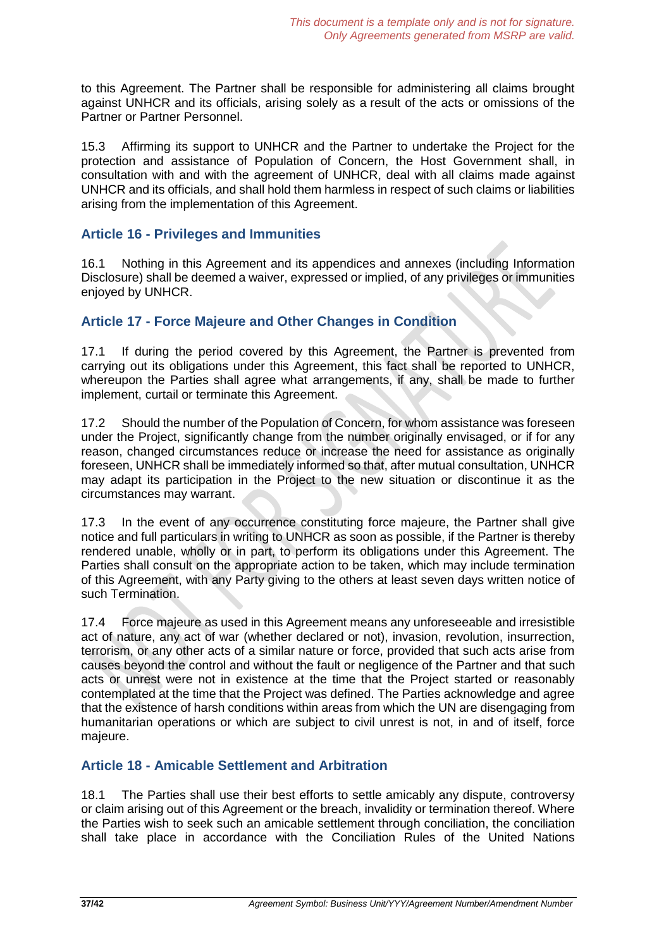to this Agreement. The Partner shall be responsible for administering all claims brought against UNHCR and its officials, arising solely as a result of the acts or omissions of the Partner or Partner Personnel.

15.3 Affirming its support to UNHCR and the Partner to undertake the Project for the protection and assistance of Population of Concern, the Host Government shall, in consultation with and with the agreement of UNHCR, deal with all claims made against UNHCR and its officials, and shall hold them harmless in respect of such claims or liabilities arising from the implementation of this Agreement.

### **Article 16 - Privileges and Immunities**

16.1 Nothing in this Agreement and its appendices and annexes (including Information Disclosure) shall be deemed a waiver, expressed or implied, of any privileges or immunities enjoyed by UNHCR.

# **Article 17 - Force Majeure and Other Changes in Condition**

17.1 If during the period covered by this Agreement, the Partner is prevented from carrying out its obligations under this Agreement, this fact shall be reported to UNHCR, whereupon the Parties shall agree what arrangements, if any, shall be made to further implement, curtail or terminate this Agreement.

17.2 Should the number of the Population of Concern, for whom assistance was foreseen under the Project, significantly change from the number originally envisaged, or if for any reason, changed circumstances reduce or increase the need for assistance as originally foreseen, UNHCR shall be immediately informed so that, after mutual consultation, UNHCR may adapt its participation in the Project to the new situation or discontinue it as the circumstances may warrant.

17.3 In the event of any occurrence constituting force majeure, the Partner shall give notice and full particulars in writing to UNHCR as soon as possible, if the Partner is thereby rendered unable, wholly or in part, to perform its obligations under this Agreement. The Parties shall consult on the appropriate action to be taken, which may include termination of this Agreement, with any Party giving to the others at least seven days written notice of such Termination.

17.4 Force majeure as used in this Agreement means any unforeseeable and irresistible act of nature, any act of war (whether declared or not), invasion, revolution, insurrection, terrorism, or any other acts of a similar nature or force, provided that such acts arise from causes beyond the control and without the fault or negligence of the Partner and that such acts or unrest were not in existence at the time that the Project started or reasonably contemplated at the time that the Project was defined. The Parties acknowledge and agree that the existence of harsh conditions within areas from which the UN are disengaging from humanitarian operations or which are subject to civil unrest is not, in and of itself, force majeure.

### **Article 18 - Amicable Settlement and Arbitration**

18.1 The Parties shall use their best efforts to settle amicably any dispute, controversy or claim arising out of this Agreement or the breach, invalidity or termination thereof. Where the Parties wish to seek such an amicable settlement through conciliation, the conciliation shall take place in accordance with the Conciliation Rules of the United Nations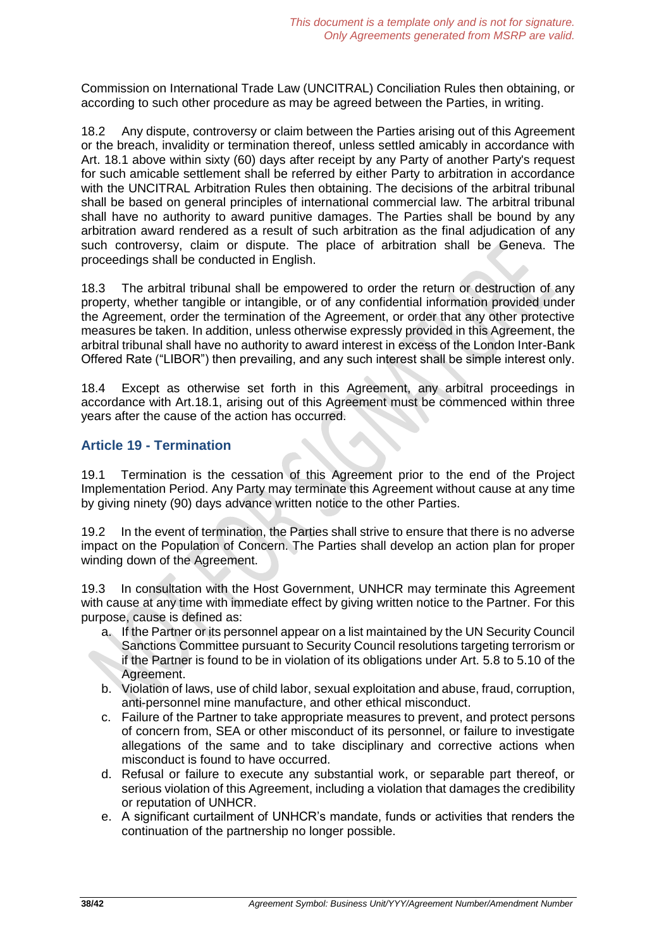Commission on International Trade Law (UNCITRAL) Conciliation Rules then obtaining, or according to such other procedure as may be agreed between the Parties, in writing.

18.2 Any dispute, controversy or claim between the Parties arising out of this Agreement or the breach, invalidity or termination thereof, unless settled amicably in accordance with Art. 18.1 above within sixty (60) days after receipt by any Party of another Party's request for such amicable settlement shall be referred by either Party to arbitration in accordance with the UNCITRAL Arbitration Rules then obtaining. The decisions of the arbitral tribunal shall be based on general principles of international commercial law. The arbitral tribunal shall have no authority to award punitive damages. The Parties shall be bound by any arbitration award rendered as a result of such arbitration as the final adjudication of any such controversy, claim or dispute. The place of arbitration shall be Geneva. The proceedings shall be conducted in English.

18.3 The arbitral tribunal shall be empowered to order the return or destruction of any property, whether tangible or intangible, or of any confidential information provided under the Agreement, order the termination of the Agreement, or order that any other protective measures be taken. In addition, unless otherwise expressly provided in this Agreement, the arbitral tribunal shall have no authority to award interest in excess of the London Inter-Bank Offered Rate ("LIBOR") then prevailing, and any such interest shall be simple interest only.

18.4 Except as otherwise set forth in this Agreement, any arbitral proceedings in accordance with Art.18.1, arising out of this Agreement must be commenced within three years after the cause of the action has occurred.

# **Article 19 - Termination**

19.1 Termination is the cessation of this Agreement prior to the end of the Project Implementation Period. Any Party may terminate this Agreement without cause at any time by giving ninety (90) days advance written notice to the other Parties.

19.2 In the event of termination, the Parties shall strive to ensure that there is no adverse impact on the Population of Concern. The Parties shall develop an action plan for proper winding down of the Agreement.

19.3 In consultation with the Host Government, UNHCR may terminate this Agreement with cause at any time with immediate effect by giving written notice to the Partner. For this purpose, cause is defined as:

- a. If the Partner or its personnel appear on a list maintained by the UN Security Council Sanctions Committee pursuant to Security Council resolutions targeting terrorism or if the Partner is found to be in violation of its obligations under Art. 5.8 to 5.10 of the Agreement.
- b. Violation of laws, use of child labor, sexual exploitation and abuse, fraud, corruption, anti-personnel mine manufacture, and other ethical misconduct.
- c. Failure of the Partner to take appropriate measures to prevent, and protect persons of concern from, SEA or other misconduct of its personnel, or failure to investigate allegations of the same and to take disciplinary and corrective actions when misconduct is found to have occurred.
- d. Refusal or failure to execute any substantial work, or separable part thereof, or serious violation of this Agreement, including a violation that damages the credibility or reputation of UNHCR.
- e. A significant curtailment of UNHCR's mandate, funds or activities that renders the continuation of the partnership no longer possible.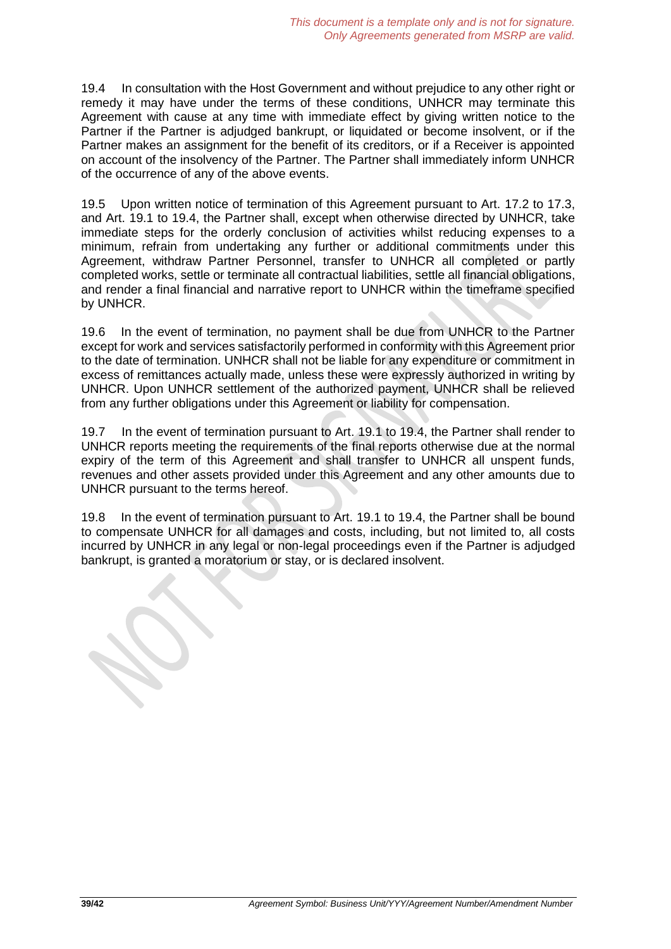19.4 In consultation with the Host Government and without prejudice to any other right or remedy it may have under the terms of these conditions, UNHCR may terminate this Agreement with cause at any time with immediate effect by giving written notice to the Partner if the Partner is adjudged bankrupt, or liquidated or become insolvent, or if the Partner makes an assignment for the benefit of its creditors, or if a Receiver is appointed on account of the insolvency of the Partner. The Partner shall immediately inform UNHCR of the occurrence of any of the above events.

19.5 Upon written notice of termination of this Agreement pursuant to Art. 17.2 to 17.3, and Art. 19.1 to 19.4, the Partner shall, except when otherwise directed by UNHCR, take immediate steps for the orderly conclusion of activities whilst reducing expenses to a minimum, refrain from undertaking any further or additional commitments under this Agreement, withdraw Partner Personnel, transfer to UNHCR all completed or partly completed works, settle or terminate all contractual liabilities, settle all financial obligations, and render a final financial and narrative report to UNHCR within the timeframe specified by UNHCR.

19.6 In the event of termination, no payment shall be due from UNHCR to the Partner except for work and services satisfactorily performed in conformity with this Agreement prior to the date of termination. UNHCR shall not be liable for any expenditure or commitment in excess of remittances actually made, unless these were expressly authorized in writing by UNHCR. Upon UNHCR settlement of the authorized payment, UNHCR shall be relieved from any further obligations under this Agreement or liability for compensation.

19.7 In the event of termination pursuant to Art. 19.1 to 19.4, the Partner shall render to UNHCR reports meeting the requirements of the final reports otherwise due at the normal expiry of the term of this Agreement and shall transfer to UNHCR all unspent funds, revenues and other assets provided under this Agreement and any other amounts due to UNHCR pursuant to the terms hereof.

19.8 In the event of termination pursuant to Art. 19.1 to 19.4, the Partner shall be bound to compensate UNHCR for all damages and costs, including, but not limited to, all costs incurred by UNHCR in any legal or non-legal proceedings even if the Partner is adjudged bankrupt, is granted a moratorium or stay, or is declared insolvent.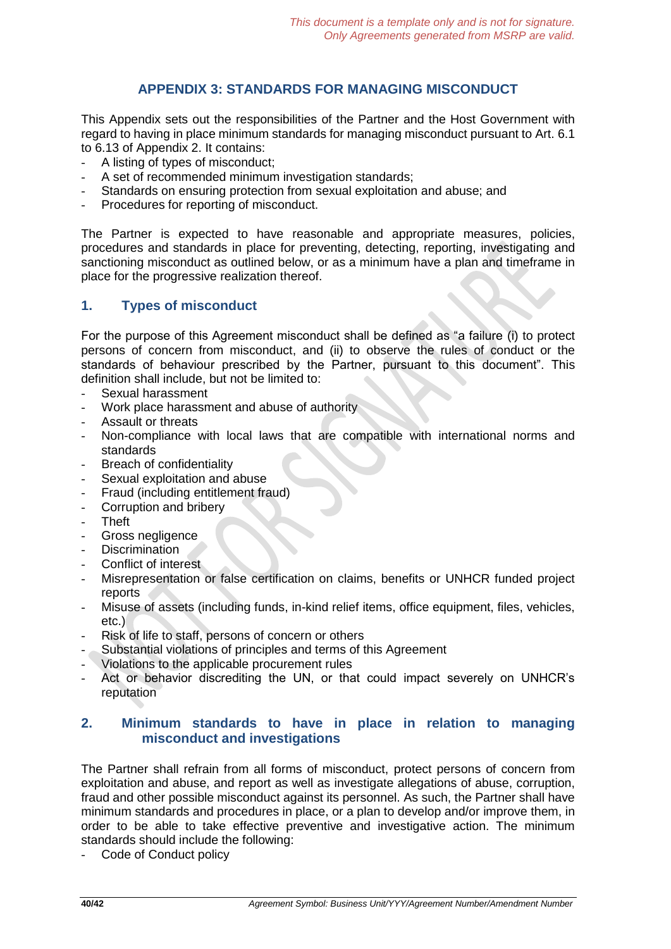# **APPENDIX 3: STANDARDS FOR MANAGING MISCONDUCT**

This Appendix sets out the responsibilities of the Partner and the Host Government with regard to having in place minimum standards for managing misconduct pursuant to Art. 6.1 to 6.13 of Appendix 2. It contains:

- A listing of types of misconduct;
- A set of recommended minimum investigation standards;
- Standards on ensuring protection from sexual exploitation and abuse; and
- Procedures for reporting of misconduct.

The Partner is expected to have reasonable and appropriate measures, policies, procedures and standards in place for preventing, detecting, reporting, investigating and sanctioning misconduct as outlined below, or as a minimum have a plan and timeframe in place for the progressive realization thereof.

# **1. Types of misconduct**

For the purpose of this Agreement misconduct shall be defined as "a failure (i) to protect persons of concern from misconduct, and (ii) to observe the rules of conduct or the standards of behaviour prescribed by the Partner, pursuant to this document". This definition shall include, but not be limited to:

- Sexual harassment
- Work place harassment and abuse of authority
- Assault or threats
- Non-compliance with local laws that are compatible with international norms and standards
- Breach of confidentiality
- Sexual exploitation and abuse
- Fraud (including entitlement fraud)
- Corruption and bribery
- Theft
- Gross negligence
- **Discrimination**
- Conflict of interest
- Misrepresentation or false certification on claims, benefits or UNHCR funded project reports
- Misuse of assets (including funds, in-kind relief items, office equipment, files, vehicles, etc.)
- Risk of life to staff, persons of concern or others
- Substantial violations of principles and terms of this Agreement
- Violations to the applicable procurement rules
- Act or behavior discrediting the UN, or that could impact severely on UNHCR's reputation

### **2. Minimum standards to have in place in relation to managing misconduct and investigations**

The Partner shall refrain from all forms of misconduct, protect persons of concern from exploitation and abuse, and report as well as investigate allegations of abuse, corruption, fraud and other possible misconduct against its personnel. As such, the Partner shall have minimum standards and procedures in place, or a plan to develop and/or improve them, in order to be able to take effective preventive and investigative action. The minimum standards should include the following:

Code of Conduct policy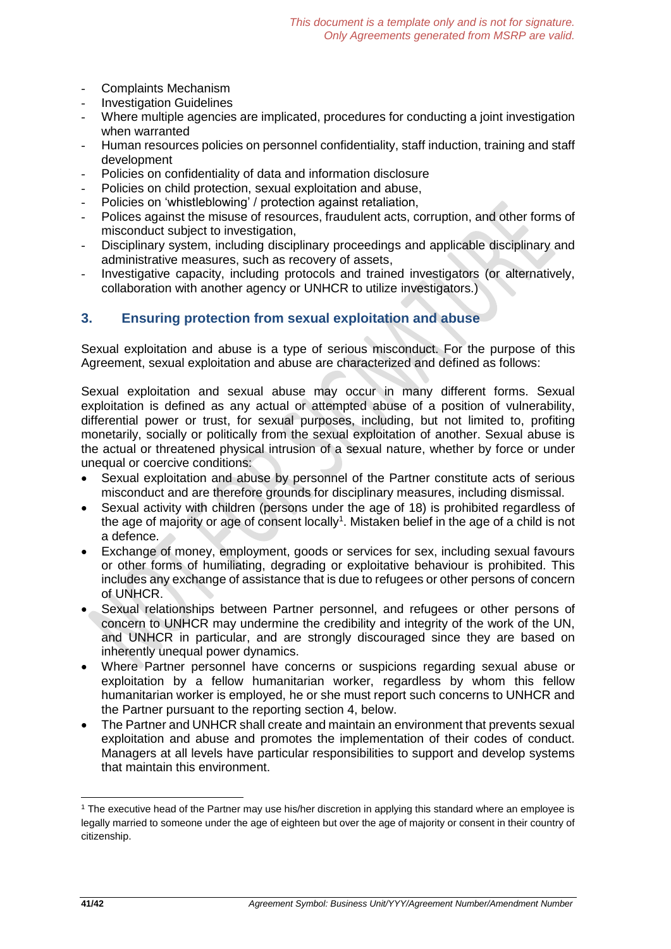- Complaints Mechanism
- **Investigation Guidelines**
- Where multiple agencies are implicated, procedures for conducting a joint investigation when warranted
- Human resources policies on personnel confidentiality, staff induction, training and staff development
- Policies on confidentiality of data and information disclosure
- Policies on child protection, sexual exploitation and abuse,
- Policies on 'whistleblowing' / protection against retaliation,
- Polices against the misuse of resources, fraudulent acts, corruption, and other forms of misconduct subject to investigation,
- Disciplinary system, including disciplinary proceedings and applicable disciplinary and administrative measures, such as recovery of assets,
- Investigative capacity, including protocols and trained investigators (or alternatively, collaboration with another agency or UNHCR to utilize investigators.)

# **3. Ensuring protection from sexual exploitation and abuse**

Sexual exploitation and abuse is a type of serious misconduct. For the purpose of this Agreement, sexual exploitation and abuse are characterized and defined as follows:

Sexual exploitation and sexual abuse may occur in many different forms. Sexual exploitation is defined as any actual or attempted abuse of a position of vulnerability, differential power or trust, for sexual purposes, including, but not limited to, profiting monetarily, socially or politically from the sexual exploitation of another. Sexual abuse is the actual or threatened physical intrusion of a sexual nature, whether by force or under unequal or coercive conditions:

- Sexual exploitation and abuse by personnel of the Partner constitute acts of serious misconduct and are therefore grounds for disciplinary measures, including dismissal.
- Sexual activity with children (persons under the age of 18) is prohibited regardless of the age of majority or age of consent locally<sup>1</sup>. Mistaken belief in the age of a child is not a defence.
- Exchange of money, employment, goods or services for sex, including sexual favours or other forms of humiliating, degrading or exploitative behaviour is prohibited. This includes any exchange of assistance that is due to refugees or other persons of concern of UNHCR.
- Sexual relationships between Partner personnel, and refugees or other persons of concern to UNHCR may undermine the credibility and integrity of the work of the UN, and UNHCR in particular, and are strongly discouraged since they are based on inherently unequal power dynamics.
- Where Partner personnel have concerns or suspicions regarding sexual abuse or exploitation by a fellow humanitarian worker, regardless by whom this fellow humanitarian worker is employed, he or she must report such concerns to UNHCR and the Partner pursuant to the reporting section 4, below.
- The Partner and UNHCR shall create and maintain an environment that prevents sexual exploitation and abuse and promotes the implementation of their codes of conduct. Managers at all levels have particular responsibilities to support and develop systems that maintain this environment.

1

<sup>1</sup> The executive head of the Partner may use his/her discretion in applying this standard where an employee is legally married to someone under the age of eighteen but over the age of majority or consent in their country of citizenship.